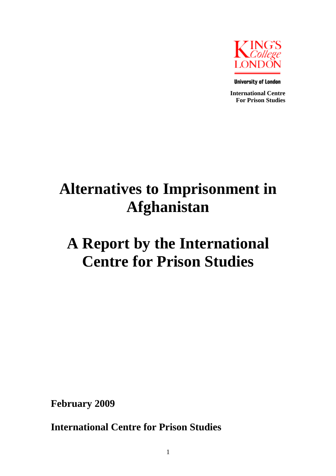

**University of London** 

**International Centre For Prison Studies** 

# **Alternatives to Imprisonment in Afghanistan**

# **A Report by the International Centre for Prison Studies**

**February 2009** 

**International Centre for Prison Studies**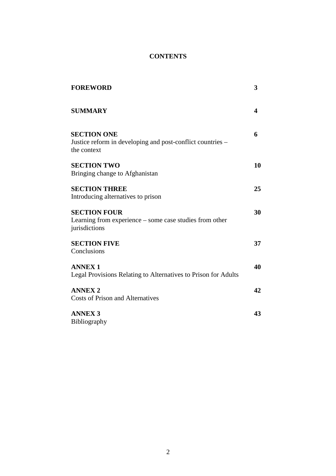# **CONTENTS**

| <b>FOREWORD</b>                                                                                 | 3  |
|-------------------------------------------------------------------------------------------------|----|
| <b>SUMMARY</b>                                                                                  | 4  |
| <b>SECTION ONE</b><br>Justice reform in developing and post-conflict countries –<br>the context | 6  |
| <b>SECTION TWO</b><br>Bringing change to Afghanistan                                            | 10 |
| <b>SECTION THREE</b><br>Introducing alternatives to prison                                      | 25 |
| <b>SECTION FOUR</b><br>Learning from experience – some case studies from other<br>jurisdictions | 30 |
| <b>SECTION FIVE</b><br>Conclusions                                                              | 37 |
| <b>ANNEX1</b><br>Legal Provisions Relating to Alternatives to Prison for Adults                 | 40 |
| <b>ANNEX 2</b><br><b>Costs of Prison and Alternatives</b>                                       | 42 |
| <b>ANNEX 3</b><br>Bibliography                                                                  | 43 |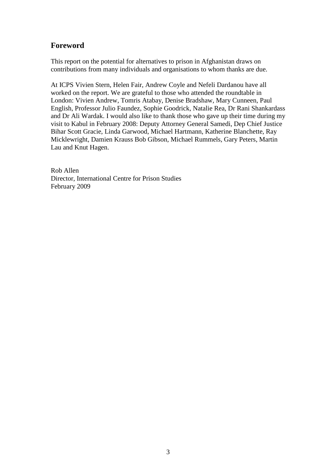# **Foreword**

This report on the potential for alternatives to prison in Afghanistan draws on contributions from many individuals and organisations to whom thanks are due.

At ICPS Vivien Stern, Helen Fair, Andrew Coyle and Nefeli Dardanou have all worked on the report. We are grateful to those who attended the roundtable in London: Vivien Andrew, Tomris Atabay, Denise Bradshaw, Mary Cunneen, Paul English, Professor Julio Faundez, Sophie Goodrick, Natalie Rea, Dr Rani Shankardass and Dr Ali Wardak. I would also like to thank those who gave up their time during my visit to Kabul in February 2008: Deputy Attorney General Samedi, Dep Chief Justice Bihar Scott Gracie, Linda Garwood, Michael Hartmann, Katherine Blanchette, Ray Micklewright, Damien Krauss Bob Gibson, Michael Rummels, Gary Peters, Martin Lau and Knut Hagen.

Rob Allen Director, International Centre for Prison Studies February 2009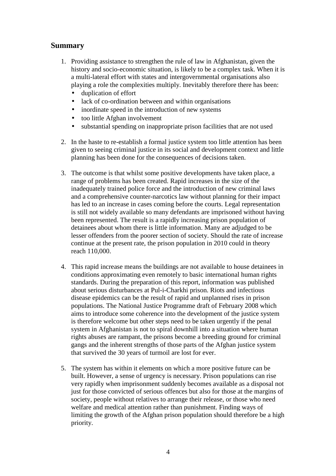# **Summary**

- 1. Providing assistance to strengthen the rule of law in Afghanistan, given the history and socio-economic situation, is likely to be a complex task. When it is a multi-lateral effort with states and intergovernmental organisations also playing a role the complexities multiply. Inevitably therefore there has been:
	- duplication of effort
	- lack of co-ordination between and within organisations
	- inordinate speed in the introduction of new systems
	- too little Afghan involvement
	- substantial spending on inappropriate prison facilities that are not used
- 2. In the haste to re-establish a formal justice system too little attention has been given to seeing criminal justice in its social and development context and little planning has been done for the consequences of decisions taken.
- 3. The outcome is that whilst some positive developments have taken place, a range of problems has been created. Rapid increases in the size of the inadequately trained police force and the introduction of new criminal laws and a comprehensive counter-narcotics law without planning for their impact has led to an increase in cases coming before the courts. Legal representation is still not widely available so many defendants are imprisoned without having been represented. The result is a rapidly increasing prison population of detainees about whom there is little information. Many are adjudged to be lesser offenders from the poorer section of society. Should the rate of increase continue at the present rate, the prison population in 2010 could in theory reach 110,000.
- 4. This rapid increase means the buildings are not available to house detainees in conditions approximating even remotely to basic international human rights standards. During the preparation of this report, information was published about serious disturbances at Pul-i-Charkhi prison. Riots and infectious disease epidemics can be the result of rapid and unplanned rises in prison populations. The National Justice Programme draft of February 2008 which aims to introduce some coherence into the development of the justice system is therefore welcome but other steps need to be taken urgently if the penal system in Afghanistan is not to spiral downhill into a situation where human rights abuses are rampant, the prisons become a breeding ground for criminal gangs and the inherent strengths of those parts of the Afghan justice system that survived the 30 years of turmoil are lost for ever.
- 5. The system has within it elements on which a more positive future can be built. However, a sense of urgency is necessary. Prison populations can rise very rapidly when imprisonment suddenly becomes available as a disposal not just for those convicted of serious offences but also for those at the margins of society, people without relatives to arrange their release, or those who need welfare and medical attention rather than punishment. Finding ways of limiting the growth of the Afghan prison population should therefore be a high priority.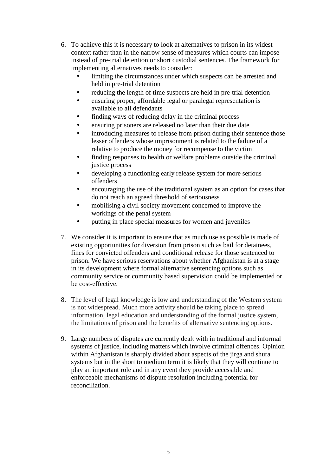- 6. To achieve this it is necessary to look at alternatives to prison in its widest context rather than in the narrow sense of measures which courts can impose instead of pre-trial detention or short custodial sentences. The framework for implementing alternatives needs to consider:
	- limiting the circumstances under which suspects can be arrested and held in pre-trial detention
	- reducing the length of time suspects are held in pre-trial detention
	- ensuring proper, affordable legal or paralegal representation is available to all defendants
	- finding ways of reducing delay in the criminal process
	- ensuring prisoners are released no later than their due date
	- introducing measures to release from prison during their sentence those lesser offenders whose imprisonment is related to the failure of a relative to produce the money for recompense to the victim
	- finding responses to health or welfare problems outside the criminal justice process
	- developing a functioning early release system for more serious offenders
	- encouraging the use of the traditional system as an option for cases that do not reach an agreed threshold of seriousness
	- mobilising a civil society movement concerned to improve the workings of the penal system
	- putting in place special measures for women and juveniles
- 7. We consider it is important to ensure that as much use as possible is made of existing opportunities for diversion from prison such as bail for detainees, fines for convicted offenders and conditional release for those sentenced to prison. We have serious reservations about whether Afghanistan is at a stage in its development where formal alternative sentencing options such as community service or community based supervision could be implemented or be cost-effective.
- 8. The level of legal knowledge is low and understanding of the Western system is not widespread. Much more activity should be taking place to spread information, legal education and understanding of the formal justice system, the limitations of prison and the benefits of alternative sentencing options.
- 9. Large numbers of disputes are currently dealt with in traditional and informal systems of justice, including matters which involve criminal offences. Opinion within Afghanistan is sharply divided about aspects of the jirga and shura systems but in the short to medium term it is likely that they will continue to play an important role and in any event they provide accessible and enforceable mechanisms of dispute resolution including potential for reconciliation.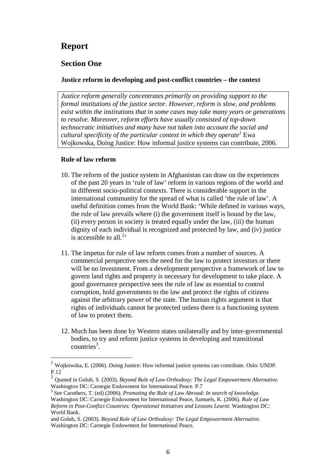# **Report**

# **Section One**

## **Justice reform in developing and post-conflict countries – the context**

*Justice reform generally concentrates primarily on providing support to the formal institutions of the justice sector. However, reform is slow, and problems exist within the institutions that in some cases may take many years or generations to resolve. Moreover, reform efforts have usually consisted of top-down technocratic initiatives and many have not taken into account the social and cultural specificity of the particular context in which they operate<sup>1</sup>* Ewa Wojkowska, Doing Justice: How informal justice systems can contribute, 2006.

## **Rule of law reform**

- 10. The reform of the justice system in Afghanistan can draw on the experiences of the past 20 years in 'rule of law' reform in various regions of the world and in different socio-political contexts. There is considerable support in the international community for the spread of what is called 'the rule of law'. A useful definition comes from the World Bank: 'While defined in various ways, the rule of law prevails where (i) the government itself is bound by the law, (ii) every person in society is treated equally under the law, (iii) the human dignity of each individual is recognized and protected by law, and (iv) justice is accessible to all.<sup>2,</sup>
- 11. The impetus for rule of law reform comes from a number of sources. A commercial perspective sees the need for the law to protect investors or there will be no investment. From a development perspective a framework of law to govern land rights and property is necessary for development to take place. A good governance perspective sees the rule of law as essential to control corruption, hold governments to the law and protect the rights of citizens against the arbitrary power of the state. The human rights argument is that rights of individuals cannot be protected unless there is a functioning system of law to protect them.
- 12. Much has been done by Western states unilaterally and by inter-governmental bodies, to try and reform justice systems in developing and transitional  $countries<sup>3</sup>$ .

<sup>1</sup> Wojkowska, E. (2006). Doing Justice: How informal justice systems can contribute. Oslo: UNDP. P.12

<sup>2</sup> Quoted in Golub, S. (2003). *Beyond Rule of Law Orthodoxy: The Legal Empowerment Alternative.*  Washington DC: Carnegie Endowment for International Peace. P.7

<sup>&</sup>lt;sup>3</sup> See Carothers, T. (ed) (2006). *Promoting the Rule of Law Abroad: In search of knowledge.* Washington DC: Carnegie Endowment for International Peace, Samuels, K. (2006). *Rule of Law Reform in Post-Conflict Countries: Operational Initiatives and Lessons Learnt.* Washington DC: World Bank.

and Golub, S. (2003). *Beyond Rule of Law Orthodoxy: The Legal Empowerment Alternative.*  Washington DC: Carnegie Endowment for International Peace.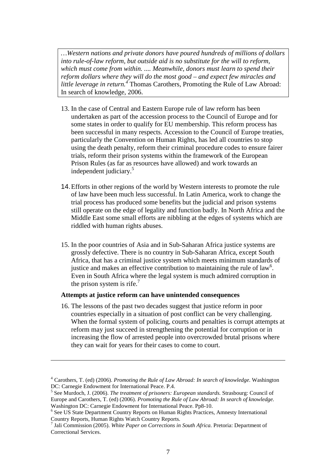*…Western nations and private donors have poured hundreds of millions of dollars into rule-of-law reform, but outside aid is no substitute for the will to reform, which must come from within. .... Meanwhile, donors must learn to spend their reform dollars where they will do the most good – and expect few miracles and little leverage in return.<sup>4</sup>* Thomas Carothers, Promoting the Rule of Law Abroad: In search of knowledge, 2006.

- 13. In the case of Central and Eastern Europe rule of law reform has been undertaken as part of the accession process to the Council of Europe and for some states in order to qualify for EU membership. This reform process has been successful in many respects. Accession to the Council of Europe treaties, particularly the Convention on Human Rights, has led all countries to stop using the death penalty, reform their criminal procedure codes to ensure fairer trials, reform their prison systems within the framework of the European Prison Rules (as far as resources have allowed) and work towards an independent judiciary.<sup>5</sup>
- 14. Efforts in other regions of the world by Western interests to promote the rule of law have been much less successful. In Latin America, work to change the trial process has produced some benefits but the judicial and prison systems still operate on the edge of legality and function badly. In North Africa and the Middle East some small efforts are nibbling at the edges of systems which are riddled with human rights abuses.
- 15. In the poor countries of Asia and in Sub-Saharan Africa justice systems are grossly defective. There is no country in Sub-Saharan Africa, except South Africa, that has a criminal justice system which meets minimum standards of justice and makes an effective contribution to maintaining the rule of  $law<sup>6</sup>$ . Even in South Africa where the legal system is much admired corruption in the prison system is rife.<sup>7</sup>

#### **Attempts at justice reform can have unintended consequences**

 $\overline{a}$ 

16. The lessons of the past two decades suggest that justice reform in poor countries especially in a situation of post conflict can be very challenging. When the formal system of policing, courts and penalties is corrupt attempts at reform may just succeed in strengthening the potential for corruption or in increasing the flow of arrested people into overcrowded brutal prisons where they can wait for years for their cases to come to court.

<sup>4</sup> Carothers, T. (ed) (2006). *Promoting the Rule of Law Abroad: In search of knowledge.* Washington DC: Carnegie Endowment for International Peace. P.4.

<sup>5</sup> See Murdoch, J. (2006). *The treatment of prisoners: European standards.* Strasbourg: Council of Europe and Carothers, T. (ed) (2006). *Promoting the Rule of Law Abroad: In search of knowledge.*  Washington DC: Carnegie Endowment for International Peace. Pp8-10.

<sup>&</sup>lt;sup>6</sup> See US State Department Country Reports on Human Rights Practices, Amnesty International Country Reports, Human Rights Watch Country Reports.

<sup>7</sup> Jali Commission (2005). *White Paper on Corrections in South Africa.* Pretoria: Department of Correctional Services.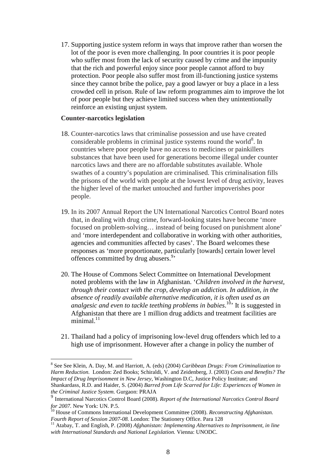17. Supporting justice system reform in ways that improve rather than worsen the lot of the poor is even more challenging. In poor countries it is poor people who suffer most from the lack of security caused by crime and the impunity that the rich and powerful enjoy since poor people cannot afford to buy protection. Poor people also suffer most from ill-functioning justice systems since they cannot bribe the police, pay a good lawyer or buy a place in a less crowded cell in prison. Rule of law reform programmes aim to improve the lot of poor people but they achieve limited success when they unintentionally reinforce an existing unjust system.

#### **Counter-narcotics legislation**

- 18. Counter-narcotics laws that criminalise possession and use have created considerable problems in criminal justice systems round the world $8$ . In countries where poor people have no access to medicines or painkillers substances that have been used for generations become illegal under counter narcotics laws and there are no affordable substitutes available. Whole swathes of a country's population are criminalised. This criminalisation fills the prisons of the world with people at the lowest level of drug activity, leaves the higher level of the market untouched and further impoverishes poor people.
- 19. In its 2007 Annual Report the UN International Narcotics Control Board notes that, in dealing with drug crime, forward-looking states have become 'more focused on problem-solving… instead of being focused on punishment alone' and 'more interdependent and collaborative in working with other authorities, agencies and communities affected by cases'. The Board welcomes these responses as 'more proportionate, particularly [towards] certain lower level offences committed by drug abusers.<sup>9,</sup>
- 20. The House of Commons Select Committee on International Development noted problems with the law in Afghanistan. '*Children involved in the harvest, through their contact with the crop, develop an addiction. In addition, in the absence of readily available alternative medication, it is often used as an analgesic and even to tackle teething problems in babies*. <sup>10</sup>' It is suggested in Afghanistan that there are 1 million drug addicts and treatment facilities are  $minimal.<sup>11</sup>$
- 21. Thailand had a policy of imprisoning low-level drug offenders which led to a high use of imprisonment. However after a change in policy the number of

<sup>8</sup> See See Klein, A. Day, M. and Harriott, A. (eds) (2004) *Caribbean Drugs: From Criminalization to Harm Reduction.* London: Zed Books; Schiraldi, V. and Zeidenberg, J. (2003) *Costs and Benefits? The Impact of Drug Imprisonment in New Jersey*, Washington D.C*,* Justice Policy Institute; and Shankardass, R.D. and Haider, S. (2004) *Barred from Life Scarred for Life: Experiences of Women in the Criminal Justice System.* Gurgaon: PRAJA

<sup>9</sup> International Narcotics Control Board (2008). *Report of the International Narcotics Control Board for 2007.* New York: UN. P.5.

<sup>10</sup> House of Commons International Development Committee (2008). *Reconstructing Afghanistan. Fourth Report of Session 2007-08.* London: The Stationery Office. Para 128

<sup>11</sup> Atabay, T. and English, P. (2008) *Afghanistan: Implementing Alternatives to Imprisonment, in line with International Standards and National Legislation.* Vienna: UNODC.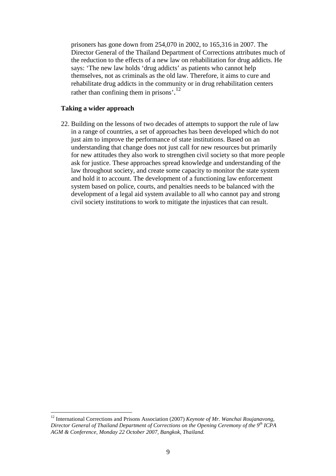prisoners has gone down from 254,070 in 2002, to 165,316 in 2007. The Director General of the Thailand Department of Corrections attributes much of the reduction to the effects of a new law on rehabilitation for drug addicts. He says: 'The new law holds 'drug addicts' as patients who cannot help themselves, not as criminals as the old law. Therefore, it aims to cure and rehabilitate drug addicts in the community or in drug rehabilitation centers rather than confining them in prisons'.<sup>12</sup>

# **Taking a wider approach**

 $\overline{a}$ 

22. Building on the lessons of two decades of attempts to support the rule of law in a range of countries, a set of approaches has been developed which do not just aim to improve the performance of state institutions. Based on an understanding that change does not just call for new resources but primarily for new attitudes they also work to strengthen civil society so that more people ask for justice. These approaches spread knowledge and understanding of the law throughout society, and create some capacity to monitor the state system and hold it to account. The development of a functioning law enforcement system based on police, courts, and penalties needs to be balanced with the development of a legal aid system available to all who cannot pay and strong civil society institutions to work to mitigate the injustices that can result.

<sup>12</sup> International Corrections and Prisons Association (2007) *Keynote of Mr. Wanchai Roujanavong, Director General of Thailand Department of Corrections on the Opening Ceremony of the 9th ICPA AGM & Conference, Monday 22 October 2007, Bangkok, Thailand.*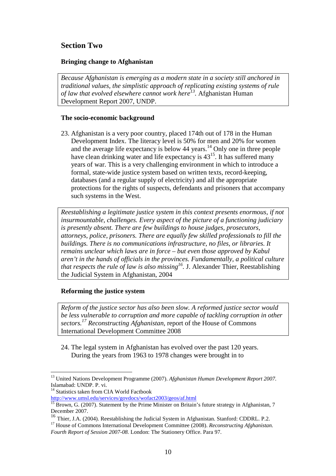# **Section Two**

## **Bringing change to Afghanistan**

*Because Afghanistan is emerging as a modern state in a society still anchored in traditional values, the simplistic approach of replicating existing systems of rule of law that evolved elsewhere cannot work here<sup>13</sup> .* Afghanistan Human Development Report 2007, UNDP.

## **The socio-economic background**

23. Afghanistan is a very poor country, placed 174th out of 178 in the Human Development Index. The literacy level is 50% for men and 20% for women and the average life expectancy is below 44 years.<sup>14</sup> Only one in three people have clean drinking water and life expectancy is  $43^{15}$ . It has suffered many years of war. This is a very challenging environment in which to introduce a formal, state-wide justice system based on written texts, record-keeping, databases (and a regular supply of electricity) and all the appropriate protections for the rights of suspects, defendants and prisoners that accompany such systems in the West.

*Reestablishing a legitimate justice system in this context presents enormous, if not insurmountable, challenges. Every aspect of the picture of a functioning judiciary is presently absent. There are few buildings to house judges, prosecutors, attorneys, police, prisoners. There are equally few skilled professionals to fill the buildings. There is no communications infrastructure, no files, or libraries. It remains unclear which laws are in force – but even those approved by Kabul aren't in the hands of officials in the provinces. Fundamentally, a political culture that respects the rule of law is also missing<sup>16</sup> .* J. Alexander Thier, Reestablishing the Judicial System in Afghanistan, 2004

## **Reforming the justice system**

*Reform of the justice sector has also been slow. A reformed justice sector would be less vulnerable to corruption and more capable of tackling corruption in other sectors.<sup>17</sup> Reconstructing Afghanistan,* report of the House of Commons International Development Committee 2008

24. The legal system in Afghanistan has evolved over the past 120 years. During the years from 1963 to 1978 changes were brought in to

 $\overline{a}$ 

http://www.umsl.edu/services/govdocs/wofact2003/geos/af.html

<sup>13</sup> United Nations Development Programme (2007). *Afghanistan Human Development Report 2007.*  Islamabad: UNDP. P. vi.

<sup>&</sup>lt;sup>14</sup> Statistics taken from CIA World Factbook

<sup>&</sup>lt;sup>15</sup> Brown, G. (2007). Statement by the Prime Minister on Britain's future strategy in Afghanistan, 7 December 2007.

<sup>&</sup>lt;sup>16</sup> Thier, J.A. (2004). Reestablishing the Judicial System in Afghanistan. Stanford: CDDRL. P.2.

<sup>&</sup>lt;sup>17</sup> House of Commons International Development Committee (2008). *Reconstructing Afghanistan*. *Fourth Report of Session 2007-08.* London: The Stationery Office. Para 97.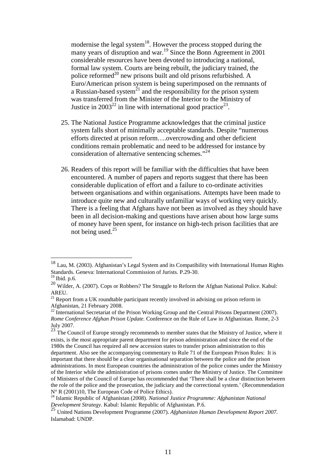modernise the legal system $18$ . However the process stopped during the many years of disruption and war.<sup>19</sup> Since the Bonn Agreement in 2001 considerable resources have been devoted to introducing a national, formal law system. Courts are being rebuilt, the judiciary trained, the police reformed $^{20}$  new prisons built and old prisons refurbished. A Euro/American prison system is being superimposed on the remnants of a Russian-based system<sup>21</sup> and the responsibility for the prison system was transferred from the Minister of the Interior to the Ministry of Justice in  $2003^{22}$  in line with international good practice<sup>23</sup>.

- 25. The National Justice Programme acknowledges that the criminal justice system falls short of minimally acceptable standards. Despite "numerous efforts directed at prison reform….overcrowding and other deficient conditions remain problematic and need to be addressed for instance by consideration of alternative sentencing schemes."<sup>24</sup>
- 26. Readers of this report will be familiar with the difficulties that have been encountered. A number of papers and reports suggest that there has been considerable duplication of effort and a failure to co-ordinate activities between organisations and within organisations. Attempts have been made to introduce quite new and culturally unfamiliar ways of working very quickly. There is a feeling that Afghans have not been as involved as they should have been in all decision-making and questions have arisen about how large sums of money have been spent, for instance on high-tech prison facilities that are not being used. $25$

<sup>&</sup>lt;sup>18</sup> Lau, M. (2003). Afghanistan's Legal System and its Compatibility with International Human Rights Standards. Geneva: International Commission of Jurists. P.29-30.

 $19$  Ibid. p.6.

<sup>20</sup> Wilder, A. (2007). Cops or Robbers? The Struggle to Reform the Afghan National Police. Kabul: AREU.

 $21$  Report from a UK roundtable participant recently involved in advising on prison reform in Afghanistan, 21 February 2008.

 $^{22}$  International Secretariat of the Prison Working Group and the Central Prisons Department (2007). *Rome Conference Afghan Prison Update.* Conference on the Rule of Law in Afghanistan. Rome, 2-3 July 2007.

 $23$  The Council of Europe strongly recommends to member states that the Ministry of Justice, where it exists, is the most appropriate parent department for prison administration and since the end of the 1980s the Council has required all new accession states to transfer prison administration to this department. Also see the accompanying commentary to Rule 71 of the European Prison Rules: It is important that there should be a clear organisational separation between the police and the prison administrations. In most European countries the administration of the police comes under the Ministry of the Interior while the administration of prisons comes under the Ministry of Justice. The Committee of Ministers of the Council of Europe has recommended that 'There shall be a clear distinction between the role of the police and the prosecution, the judiciary and the correctional system.' (Recommendation N° R (2001)10, The European Code of Police Ethics).

<sup>24</sup> Islamic Republic of Afghanistan (2008). *National Justice Programme: Afghanistan National Development Strategy.* Kabul: Islamic Republic of Afghanistan. P.6.

<sup>25</sup> United Nations Development Programme (2007). *Afghanistan Human Development Report 2007.*  Islamabad: UNDP.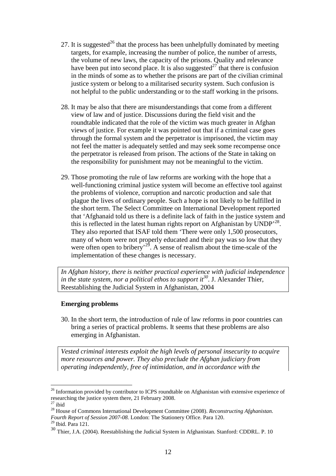- 27. It is suggested<sup>26</sup> that the process has been unhelpfully dominated by meeting targets, for example, increasing the number of police, the number of arrests, the volume of new laws, the capacity of the prisons. Quality and relevance have been put into second place. It is also suggested<sup>27</sup> that there is confusion in the minds of some as to whether the prisons are part of the civilian criminal justice system or belong to a militarised security system. Such confusion is not helpful to the public understanding or to the staff working in the prisons.
- 28. It may be also that there are misunderstandings that come from a different view of law and of justice. Discussions during the field visit and the roundtable indicated that the role of the victim was much greater in Afghan views of justice. For example it was pointed out that if a criminal case goes through the formal system and the perpetrator is imprisoned, the victim may not feel the matter is adequately settled and may seek some recompense once the perpetrator is released from prison. The actions of the State in taking on the responsibility for punishment may not be meaningful to the victim.
- 29. Those promoting the rule of law reforms are working with the hope that a well-functioning criminal justice system will become an effective tool against the problems of violence, corruption and narcotic production and sale that plague the lives of ordinary people. Such a hope is not likely to be fulfilled in the short term. The Select Committee on International Development reported that 'Afghanaid told us there is a definite lack of faith in the justice system and this is reflected in the latest human rights report on Afghanistan by  $\text{UNDP}^{\,28}$ . They also reported that ISAF told them 'There were only 1,500 prosecutors, many of whom were not properly educated and their pay was so low that they were often open to bribery<sup>29</sup>. A sense of realism about the time-scale of the implementation of these changes is necessary.

*In Afghan history, there is neither practical experience with judicial independence in the state system, nor a political ethos to support it*<sup>30</sup>. J. Alexander Thier, Reestablishing the Judicial System in Afghanistan, 2004

## **Emerging problems**

30. In the short term, the introduction of rule of law reforms in poor countries can bring a series of practical problems. It seems that these problems are also emerging in Afghanistan.

*Vested criminal interests exploit the high levels of personal insecurity to acquire more resources and power. They also preclude the Afghan judiciary from operating independently, free of intimidation, and in accordance with the* 

<sup>&</sup>lt;sup>26</sup> Information provided by contributor to ICPS roundtable on Afghanistan with extensive experience of researching the justice system there, 21 February 2008.

 $27$  ibid

<sup>28</sup> House of Commons International Development Committee (2008). *Reconstructing Afghanistan. Fourth Report of Session 2007-08.* London: The Stationery Office. Para 120. <sup>29</sup> Ibid. Para 121.

<sup>30</sup> Thier, J.A. (2004). Reestablishing the Judicial System in Afghanistan. Stanford: CDDRL. P. 10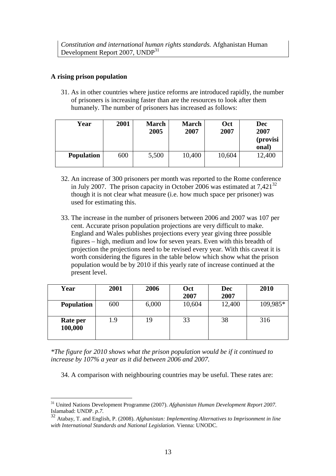## **A rising prison population**

31. As in other countries where justice reforms are introduced rapidly, the number of prisoners is increasing faster than are the resources to look after them humanely. The number of prisoners has increased as follows:

| Year              | 2001 | <b>March</b><br>2005 | <b>March</b><br>2007 | Oct<br>2007 | Dec<br>2007<br>(provisi<br>onal) |
|-------------------|------|----------------------|----------------------|-------------|----------------------------------|
| <b>Population</b> | 600  | 5,500                | 10,400               | 10,604      | 12,400                           |

- 32. An increase of 300 prisoners per month was reported to the Rome conference in July 2007. The prison capacity in October 2006 was estimated at  $7,421^{32}$ though it is not clear what measure (i.e. how much space per prisoner) was used for estimating this.
- 33. The increase in the number of prisoners between 2006 and 2007 was 107 per cent. Accurate prison population projections are very difficult to make. England and Wales publishes projections every year giving three possible figures – high, medium and low for seven years. Even with this breadth of projection the projections need to be revised every year. With this caveat it is worth considering the figures in the table below which show what the prison population would be by 2010 if this yearly rate of increase continued at the present level.

| Year                | 2001 | 2006  | Oct    | <b>Dec</b> | 2010     |
|---------------------|------|-------|--------|------------|----------|
|                     |      |       | 2007   | 2007       |          |
| <b>Population</b>   | 600  | 6,000 | 10,604 | 12,400     | 109,985* |
|                     |      |       |        |            |          |
| Rate per<br>100,000 | 1.9  | 19    | 33     | 38         | 316      |

*\*The figure for 2010 shows what the prison population would be if it continued to increase by 107% a year as it did between 2006 and 2007.* 

34. A comparison with neighbouring countries may be useful. These rates are:

 $\overline{a}$ <sup>31</sup> United Nations Development Programme (2007). *Afghanistan Human Development Report 2007.*  Islamabad: UNDP. *p.7.*

<sup>32</sup> Atabay, T. and English, P. (2008). *Afghanistan: Implementing Alternatives to Imprisonment in line with International Standards and National Legislation.* Vienna: UNODC.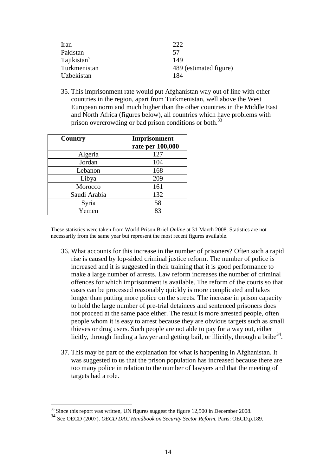| Iran         | າາາ                    |
|--------------|------------------------|
| Pakistan     | 57                     |
| Tajikistan   | 149                    |
| Turkmenistan | 489 (estimated figure) |
| Uzbekistan   | 184                    |

35. This imprisonment rate would put Afghanistan way out of line with other countries in the region, apart from Turkmenistan, well above the West European norm and much higher than the other countries in the Middle East and North Africa (figures below), all countries which have problems with prison overcrowding or bad prison conditions or both.<sup>33</sup>

| Country      | Imprisonment<br>rate per 100,000 |
|--------------|----------------------------------|
| Algeria      | 127                              |
| Jordan       | 104                              |
| Lebanon      | 168                              |
| Libya        | 209                              |
| Morocco      | 161                              |
| Saudi Arabia | 132                              |
| Syria        | 58                               |
| Yemen        | 83                               |

These statistics were taken from World Prison Brief *Online* at 31 March 2008. Statistics are not necessarily from the same year but represent the most recent figures available.

- 36. What accounts for this increase in the number of prisoners? Often such a rapid rise is caused by lop-sided criminal justice reform. The number of police is increased and it is suggested in their training that it is good performance to make a large number of arrests. Law reform increases the number of criminal offences for which imprisonment is available. The reform of the courts so that cases can be processed reasonably quickly is more complicated and takes longer than putting more police on the streets. The increase in prison capacity to hold the large number of pre-trial detainees and sentenced prisoners does not proceed at the same pace either. The result is more arrested people, often people whom it is easy to arrest because they are obvious targets such as small thieves or drug users. Such people are not able to pay for a way out, either licitly, through finding a lawyer and getting bail, or illicitly, through a bribe  $34$ .
- 37. This may be part of the explanation for what is happening in Afghanistan. It was suggested to us that the prison population has increased because there are too many police in relation to the number of lawyers and that the meeting of targets had a role.

 $33$  Since this report was written, UN figures suggest the figure 12,500 in December 2008.

<sup>34</sup> See OECD (2007). *OECD DAC Handbook on Security Sector Reform.* Paris: OECD.p.189.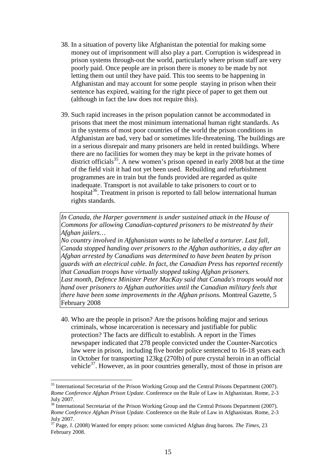- 38. In a situation of poverty like Afghanistan the potential for making some money out of imprisonment will also play a part. Corruption is widespread in prison systems through-out the world, particularly where prison staff are very poorly paid. Once people are in prison there is money to be made by not letting them out until they have paid. This too seems to be happening in Afghanistan and may account for some people staying in prison when their sentence has expired, waiting for the right piece of paper to get them out (although in fact the law does not require this).
- 39. Such rapid increases in the prison population cannot be accommodated in prisons that meet the most minimum international human right standards. As in the systems of most poor countries of the world the prison conditions in Afghanistan are bad, very bad or sometimes life-threatening. The buildings are in a serious disrepair and many prisoners are held in rented buildings. Where there are no facilities for women they may be kept in the private homes of district officials<sup>35</sup>. A new women's prison opened in early 2008 but at the time of the field visit it had not yet been used. Rebuilding and refurbishment programmes are in train but the funds provided are regarded as quite inadequate. Transport is not available to take prisoners to court or to hospital $36$ . Treatment in prison is reported to fall below international human rights standards.

*In Canada, the Harper government is under sustained attack in the House of Commons for allowing Canadian-captured prisoners to be mistreated by their Afghan jailers…* 

*No country involved in Afghanistan wants to be labelled a torturer. Last fall, Canada stopped handing over prisoners to the Afghan authorities, a day after an Afghan arrested by Canadians was determined to have been beaten by prison guards with an electrical cable. In fact, the Canadian Press has reported recently that Canadian troops have virtually stopped taking Afghan prisoners.*  Last month, Defence Minister Peter MacKay said that Canada's troops would not *hand over prisoners to Afghan authorities until the Canadian military feels that there have been some improvements in the Afghan prisons.* Montreal Gazette, 5 February 2008

40. Who are the people in prison? Are the prisons holding major and serious criminals, whose incarceration is necessary and justifiable for public protection? The facts are difficult to establish. A report in the Times newspaper indicated that 278 people convicted under the Counter-Narcotics law were in prison, including five border police sentenced to 16-18 years each in October for transporting 123kg (270lb) of pure crystal heroin in an official vehicle $3^7$ . However, as in poor countries generally, most of those in prison are

<sup>&</sup>lt;sup>35</sup> International Secretariat of the Prison Working Group and the Central Prisons Department (2007). *Rome Conference Afghan Prison Update*. Conference on the Rule of Law in Afghanistan. Rome, 2-3 July 2007.

<sup>&</sup>lt;sup>36</sup> International Secretariat of the Prison Working Group and the Central Prisons Department (2007). *Rome Conference Afghan Prison Update*. Conference on the Rule of Law in Afghanistan. Rome, 2-3 July 2007.

<sup>37</sup> Page, J. (2008) Wanted for empty prison: some convicted Afghan drug barons. *The Times,* 23 February 2008.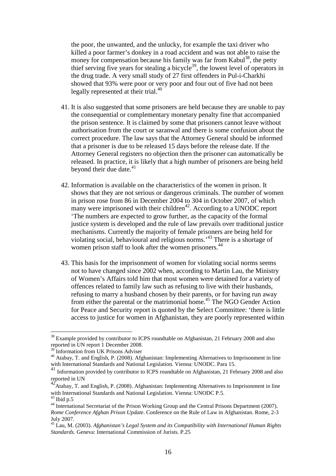the poor, the unwanted, and the unlucky, for example the taxi driver who killed a poor farmer's donkey in a road accident and was not able to raise the money for compensation because his family was far from Kabul<sup>38</sup>, the petty thief serving five years for stealing a bicycle<sup>39</sup>, the lowest level of operators in the drug trade. A very small study of 27 first offenders in Pul-i-Charkhi showed that 93% were poor or very poor and four out of five had not been legally represented at their trial.<sup>40</sup>

- 41. It is also suggested that some prisoners are held because they are unable to pay the consequential or complementary monetary penalty fine that accompanied the prison sentence. It is claimed by some that prisoners cannot leave without authorisation from the court or saranwal and there is some confusion about the correct procedure. The law says that the Attorney General should be informed that a prisoner is due to be released 15 days before the release date. If the Attorney General registers no objection then the prisoner can automatically be released. In practice, it is likely that a high number of prisoners are being held beyond their due date. $41$
- 42. Information is available on the characteristics of the women in prison. It shows that they are not serious or dangerous criminals. The number of women in prison rose from 86 in December 2004 to 304 in October 2007, of which many were imprisoned with their children<sup> $42$ </sup>. According to a UNODC report 'The numbers are expected to grow further, as the capacity of the formal justice system is developed and the rule of law prevails over traditional justice mechanisms. Currently the majority of female prisoners are being held for violating social, behavioural and religious norms.'<sup>43</sup> There is a shortage of women prison staff to look after the women prisoners.<sup>44</sup>
- 43. This basis for the imprisonment of women for violating social norms seems not to have changed since 2002 when, according to Martin Lau, the Ministry of Women's Affairs told him that most women were detained for a variety of offences related to family law such as refusing to live with their husbands, refusing to marry a husband chosen by their parents, or for having run away from either the parental or the matrimonial home.<sup>45</sup> The NGO Gender Action for Peace and Security report is quoted by the Select Committee: 'there is little access to justice for women in Afghanistan, they are poorly represented within

<sup>&</sup>lt;sup>38</sup> Example provided by contributor to ICPS roundtable on Afghanistan, 21 February 2008 and also reported in UN report 1 December 2008.

<sup>&</sup>lt;sup>39</sup> Information from UK Prisons Adviser

<sup>&</sup>lt;sup>40</sup> Atabay, T. and English, P. (2008). Afghanistan: Implementing Alternatives to Imprisonment in line with International Standards and National Legislation. Vienna: UNODC. Para 15.

<sup>&</sup>lt;sup>41</sup> Information provided by contributor to ICPS roundtable on Afghanistan, 21 February 2008 and also reported in UN

<sup>42&</sup>lt;br>Atabay, T. and English, P. (2008). Afghanistan: Implementing Alternatives to Imprisonment in line with International Standards and National Legislation. Vienna: UNODC P.5.

 $43$  Ibid p.5

<sup>&</sup>lt;sup>44</sup> International Secretariat of the Prison Working Group and the Central Prisons Department (2007). *Rome Conference Afghan Prison Update*. Conference on the Rule of Law in Afghanistan. Rome, 2-3 July 2007.

<sup>45</sup> Lau, M. (2003). *Afghanistan's Legal System and its Compatibility with International Human Rights Standards.* Geneva: International Commission of Jurists. P.25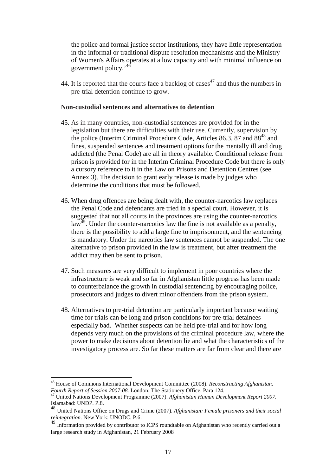the police and formal justice sector institutions, they have little representation in the informal or traditional dispute resolution mechanisms and the Ministry of Women's Affairs operates at a low capacity and with minimal influence on government policy.<sup>'46</sup>

44. It is reported that the courts face a backlog of cases<sup>47</sup> and thus the numbers in pre-trial detention continue to grow.

#### **Non-custodial sentences and alternatives to detention**

- 45. As in many countries, non-custodial sentences are provided for in the legislation but there are difficulties with their use. Currently, supervision by the police (Interim Criminal Procedure Code, Articles 86.3, 87 and  $88^{48}$  and fines, suspended sentences and treatment options for the mentally ill and drug addicted (the Penal Code) are all in theory available. Conditional release from prison is provided for in the Interim Criminal Procedure Code but there is only a cursory reference to it in the Law on Prisons and Detention Centres (see Annex 3). The decision to grant early release is made by judges who determine the conditions that must be followed.
- 46. When drug offences are being dealt with, the counter-narcotics law replaces the Penal Code and defendants are tried in a special court. However, it is suggested that not all courts in the provinces are using the counter-narcotics  $\overline{A}^{49}$ . Under the counter-narcotics law the fine is not available as a penalty, there is the possibility to add a large fine to imprisonment, and the sentencing is mandatory. Under the narcotics law sentences cannot be suspended. The one alternative to prison provided in the law is treatment, but after treatment the addict may then be sent to prison.
- 47. Such measures are very difficult to implement in poor countries where the infrastructure is weak and so far in Afghanistan little progress has been made to counterbalance the growth in custodial sentencing by encouraging police, prosecutors and judges to divert minor offenders from the prison system.
- 48. Alternatives to pre-trial detention are particularly important because waiting time for trials can be long and prison conditions for pre-trial detainees especially bad. Whether suspects can be held pre-trial and for how long depends very much on the provisions of the criminal procedure law, where the power to make decisions about detention lie and what the characteristics of the investigatory process are. So far these matters are far from clear and there are

<sup>46</sup> House of Commons International Development Committee (2008). *Reconstructing Afghanistan. Fourth Report of Session 2007-08.* London: The Stationery Office. Para 124.

<sup>47</sup> United Nations Development Programme (2007). *Afghanistan Human Development Report 2007.*  Islamabad: UNDP. P.8.

<sup>48</sup> United Nations Office on Drugs and Crime (2007). *Afghanistan: Female prisoners and their social reintegration.* New York: UNODC. P.6.

 $^{49}$  Information provided by contributor to ICPS roundtable on Afghanistan who recently carried out a large research study in Afghanistan, 21 February 2008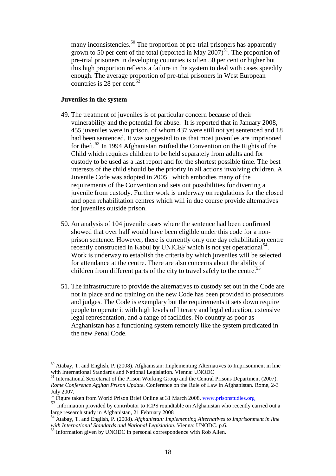many inconsistencies.<sup>50</sup> The proportion of pre-trial prisoners has apparently grown to 50 per cent of the total (reported in May  $2007$ )<sup>51</sup>. The proportion of pre-trial prisoners in developing countries is often 50 per cent or higher but this high proportion reflects a failure in the system to deal with cases speedily enough. The average proportion of pre-trial prisoners in West European countries is 28 per cent. $52$ 

#### **Juveniles in the system**

- 49. The treatment of juveniles is of particular concern because of their vulnerability and the potential for abuse. It is reported that in January 2008, 455 juveniles were in prison, of whom 437 were still not yet sentenced and 18 had been sentenced. It was suggested to us that most juveniles are imprisoned for theft.<sup>53</sup> In 1994 Afghanistan ratified the Convention on the Rights of the Child which requires children to be held separately from adults and for custody to be used as a last report and for the shortest possible time. The best interests of the child should be the priority in all actions involving children. A Juvenile Code was adopted in 2005 which embodies many of the requirements of the Convention and sets out possibilities for diverting a juvenile from custody. Further work is underway on regulations for the closed and open rehabilitation centres which will in due course provide alternatives for juveniles outside prison.
- 50. An analysis of 104 juvenile cases where the sentence had been confirmed showed that over half would have been eligible under this code for a nonprison sentence. However, there is currently only one day rehabilitation centre recently constructed in Kabul by UNICEF which is not yet operational<sup>54</sup>. Work is underway to establish the criteria by which juveniles will be selected for attendance at the centre. There are also concerns about the ability of children from different parts of the city to travel safely to the centre.<sup>55</sup>
- 51. The infrastructure to provide the alternatives to custody set out in the Code are not in place and no training on the new Code has been provided to prosecutors and judges. The Code is exemplary but the requirements it sets down require people to operate it with high levels of literary and legal education, extensive legal representation, and a range of facilities. No country as poor as Afghanistan has a functioning system remotely like the system predicated in the new Penal Code.

 $50$  Atabay, T. and English, P. (2008). Afghanistan: Implementing Alternatives to Imprisonment in line with International Standards and National Legislation. Vienna: UNODC

<sup>&</sup>lt;sup>51</sup> International Secretariat of the Prison Working Group and the Central Prisons Department (2007). *Rome Conference Afghan Prison Update*. Conference on the Rule of Law in Afghanistan. Rome, 2-3 July 2007.

 $52$  Figure taken from World Prison Brief Online at 31 March 2008. www.prisonstudies.org

<sup>53</sup> Information provided by contributor to ICPS roundtable on Afghanistan who recently carried out a large research study in Afghanistan, 21 February 2008

<sup>54</sup> Atabay, T. and English, P. (2008). *Afghanistan: Implementing Alternatives to Imprisonment in line with International Standards and National Legislation*. Vienna: UNODC. p.6.

<sup>&</sup>lt;sup>55</sup> Information given by UNODC in personal correspondence with Rob Allen.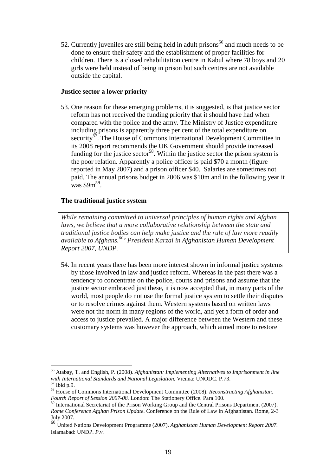52. Currently juveniles are still being held in adult prisons<sup>56</sup> and much needs to be done to ensure their safety and the establishment of proper facilities for children. There is a closed rehabilitation centre in Kabul where 78 boys and 20 girls were held instead of being in prison but such centres are not available outside the capital.

## **Justice sector a lower priority**

53. One reason for these emerging problems, it is suggested, is that justice sector reform has not received the funding priority that it should have had when compared with the police and the army. The Ministry of Justice expenditure including prisons is apparently three per cent of the total expenditure on security<sup>57</sup>. The House of Commons International Development Committee in its 2008 report recommends the UK Government should provide increased funding for the justice sector<sup>58</sup>. Within the justice sector the prison system is the poor relation. Apparently a police officer is paid \$70 a month (figure reported in May 2007) and a prison officer \$40. Salaries are sometimes not paid. The annual prisons budget in 2006 was \$10m and in the following year it  $\frac{1}{2}$  was \$9m<sup>59</sup>.

# **The traditional justice system**

*While remaining committed to universal principles of human rights and Afghan laws, we believe that a more collaborative relationship between the state and traditional justice bodies can help make justice and the rule of law more readily available to Afghans.<sup>60</sup>' President Karzai in Afghanistan Human Development Report 2007, UNDP.*

54. In recent years there has been more interest shown in informal justice systems by those involved in law and justice reform. Whereas in the past there was a tendency to concentrate on the police, courts and prisons and assume that the justice sector embraced just these, it is now accepted that, in many parts of the world, most people do not use the formal justice system to settle their disputes or to resolve crimes against them. Western systems based on written laws were not the norm in many regions of the world, and yet a form of order and access to justice prevailed. A major difference between the Western and these customary systems was however the approach, which aimed more to restore

 $\overline{a}$ <sup>56</sup> Atabay, T. and English, P. (2008). *Afghanistan: Implementing Alternatives to Imprisonment in line with International Standards and National Legislation.* Vienna: UNODC. P.73.

<sup>57</sup> Ibid p.9.

<sup>58</sup> House of Commons International Development Committee (2008). *Reconstructing Afghanistan. Fourth Report of Session 2007-08.* London: The Stationery Office. Para 100.

<sup>&</sup>lt;sup>59</sup> International Secretariat of the Prison Working Group and the Central Prisons Department (2007). *Rome Conference Afghan Prison Update*. Conference on the Rule of Law in Afghanistan. Rome, 2-3 July 2007.

<sup>60</sup> United Nations Development Programme (2007). *Afghanistan Human Development Report 2007.*  Islamabad: UNDP. *P.v.*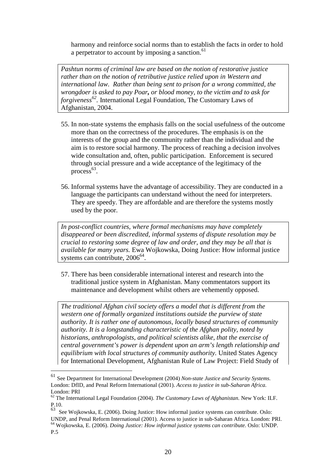harmony and reinforce social norms than to establish the facts in order to hold a perpetrator to account by imposing a sanction.<sup>61</sup>

*Pashtun norms of criminal law are based on the notion of restorative justice rather than on the notion of retributive justice relied upon in Western and international law. Rather than being sent to prison for a wrong committed, the wrongdoer is asked to pay Poar, or blood money, to the victim and to ask for forgiveness<sup>62</sup> .* International Legal Foundation, The Customary Laws of Afghanistan, 2004.

- 55. In non-state systems the emphasis falls on the social usefulness of the outcome more than on the correctness of the procedures. The emphasis is on the interests of the group and the community rather than the individual and the aim is to restore social harmony. The process of reaching a decision involves wide consultation and, often, public participation. Enforcement is secured through social pressure and a wide acceptance of the legitimacy of the  $process<sup>63</sup>$ .
- 56. Informal systems have the advantage of accessibility. They are conducted in a language the participants can understand without the need for interpreters. They are speedy. They are affordable and are therefore the systems mostly used by the poor.

*In post-conflict countries, where formal mechanisms may have completely disappeared or been discredited, informal systems of dispute resolution may be crucial to restoring some degree of law and order, and they may be all that is available for many years.* Ewa Wojkowska, Doing Justice: How informal justice systems can contribute, 2006<sup>64</sup>.

57. There has been considerable international interest and research into the traditional justice system in Afghanistan. Many commentators support its maintenance and development whilst others are vehemently opposed.

*The traditional Afghan civil society offers a model that is different from the western one of formally organized institutions outside the purview of state authority. It is rather one of autonomous, locally based structures of community authority. It is a longstanding characteristic of the Afghan polity, noted by historians, anthropologists, and political scientists alike, that the exercise of central government's power is dependent upon an arm's length relationship and equilibrium with local structures of community authority.* United States Agency for International Development, Afghanistan Rule of Law Project: Field Study of

<sup>61</sup> See Department for International Development (2004) *Non-state Justice and Security Systems.*  London: DfID, and Penal Reform International (2001). *Access to justice in sub-Saharan Africa.*  London: PRI

<sup>62</sup> The International Legal Foundation (2004). *The Customary Laws of Afghanistan.* New York: ILF. P.10.

<sup>63</sup> See Wojkowska, E. (2006). Doing Justice: How informal justice systems can contribute. Oslo: UNDP, and Penal Reform International (2001). Access to justice in sub-Saharan Africa. London: PRI. <sup>64</sup> Wojkowska, E. (2006). *Doing Justice: How informal justice systems can contribute.* Oslo: UNDP. P.5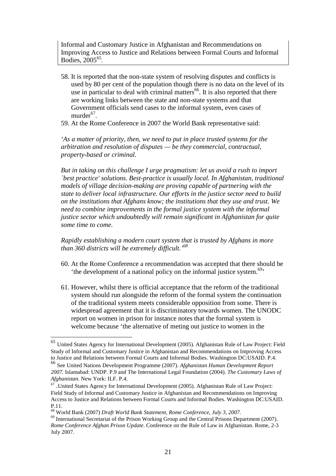Informal and Customary Justice in Afghanistan and Recommendations on Improving Access to Justice and Relations between Formal Courts and Informal Bodies, 2005<sup>65</sup> *.* 

- 58. It is reported that the non-state system of resolving disputes and conflicts is used by 80 per cent of the population though there is no data on the level of its use in particular to deal with criminal matters<sup>66</sup>. It is also reported that there are working links between the state and non-state systems and that Government officials send cases to the informal system, even cases of murder<sup>67</sup>.
- 59. At the Rome Conference in 2007 the World Bank representative said:

*'As a matter of priority, then, we need to put in place trusted systems for the arbitration and resolution of disputes — be they commercial, contractual, property-based or criminal.* 

*But in taking on this challenge I urge pragmatism: let us avoid a rush to import `best practice' solutions. Best-practice is usually local. In Afghanistan, traditional models of village decision-making are proving capable of partnering with the state to deliver local infrastructure. Our efforts in the justice sector need to build on the institutions that Afghans know; the institutions that they use and trust. We need to combine improvements in the formal justice system with the informal justice sector which undoubtedly will remain significant in Afghanistan for quite some time to come.* 

*Rapidly establishing a modern court system that is trusted by Afghans in more than 360 districts will be extremely difficult.'<sup>68</sup>*

- 60. At the Rome Conference a recommendation was accepted that there should be the development of a national policy on the informal justice system.<sup>69</sup>
- 61. However, whilst there is official acceptance that the reform of the traditional system should run alongside the reform of the formal system the continuation of the traditional system meets considerable opposition from some. There is widespread agreement that it is discriminatory towards women. The UNODC report on women in prison for instance notes that the formal system is welcome because 'the alternative of meting out justice to women in the

<sup>65</sup> United States Agency for International Development (2005). Afghanistan Rule of Law Project: Field Study of Informal and Customary Justice in Afghanistan and Recommendations on Improving Access to Justice and Relations between Formal Courts and Informal Bodies. Washington DC:USAID. P.4. <sup>66</sup> See United Nations Development Programme (2007). *Afghanistan Human Development Report 2007.* Islamabad: UNDP. P.9 and The International Legal Foundation (2004). *The Customary Laws of Afghanistan.* New York: ILF. P.4.

<sup>67</sup> .United States Agency for International Development (2005). Afghanistan Rule of Law Project: Field Study of Informal and Customary Justice in Afghanistan and Recommendations on Improving Access to Justice and Relations between Formal Courts and Informal Bodies. Washington DC:USAID. P.11.

<sup>68</sup> World Bank (2007) *Draft World Bank Statement, Rome Conference, July 3, 2007.* 

<sup>69</sup> International Secretariat of the Prison Working Group and the Central Prisons Department (2007). *Rome Conference Afghan Prison Update*. Conference on the Rule of Law in Afghanistan. Rome, 2-3 July 2007.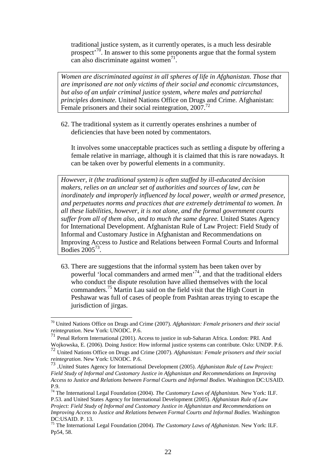traditional justice system, as it currently operates, is a much less desirable prospect<sup> $70$ </sup>. In answer to this some proponents argue that the formal system can also discriminate against women<sup>71</sup>.

*Women are discriminated against in all spheres of life in Afghanistan. Those that are imprisoned are not only victims of their social and economic circumstances, but also of an unfair criminal justice system, where males and patriarchal principles dominate.* United Nations Office on Drugs and Crime. Afghanistan: Female prisoners and their social reintegration, 2007.<sup>72</sup>

62. The traditional system as it currently operates enshrines a number of deficiencies that have been noted by commentators.

It involves some unacceptable practices such as settling a dispute by offering a female relative in marriage, although it is claimed that this is rare nowadays. It can be taken over by powerful elements in a community.

*However, it (the traditional system) is often staffed by ill-educated decision makers, relies on an unclear set of authorities and sources of law, can be inordinately and improperly influenced by local power, wealth or armed presence, and perpetuates norms and practices that are extremely detrimental to women. In all these liabilities, however, it is not alone, and the formal government courts suffer from all of them also, and to much the same degree.* United States Agency for International Development. Afghanistan Rule of Law Project: Field Study of Informal and Customary Justice in Afghanistan and Recommendations on Improving Access to Justice and Relations between Formal Courts and Informal Bodies  $2005^{73}$ .

63. There are suggestions that the informal system has been taken over by powerful 'local commanders and armed men'<sup>74</sup>, and that the traditional elders who conduct the dispute resolution have allied themselves with the local commanders.<sup>75</sup> Martin Lau said on the field visit that the High Court in Peshawar was full of cases of people from Pashtan areas trying to escape the jurisdiction of jirgas.

<sup>70</sup> United Nations Office on Drugs and Crime (2007). *Afghanistan: Female prisoners and their social reintegration.* New York: UNODC. P.6.

 $71$  Penal Reform International (2001). Access to justice in sub-Saharan Africa. London: PRI. And Wojkowska, E. (2006). Doing Justice: How informal justice systems can contribute. Oslo: UNDP. P.6.

<sup>72</sup> United Nations Office on Drugs and Crime (2007). *Afghanistan: Female prisoners and their social* 

reintegration. New York: UNODC. P.6.<br><sup>73</sup> .United States Agency for International Development (2005). *Afghanistan Rule of Law Project: Field Study of Informal and Customary Justice in Afghanistan and Recommendations on Improving Access to Justice and Relations between Formal Courts and Informal Bodies*. Washington DC:USAID. P.9.

<sup>74</sup> The International Legal Foundation (2004). *The Customary Laws of Afghanistan.* New York: ILF. P.53. and United States Agency for International Development (2005). *Afghanistan Rule of Law Project: Field Study of Informal and Customary Justice in Afghanistan and Recommendations on Improving Access to Justice and Relations between Formal Courts and Informal Bodies.* Washington DC:USAID. P. 13.

<sup>75</sup> The International Legal Foundation (2004). *The Customary Laws of Afghanistan.* New York: ILF. Pp54, 58.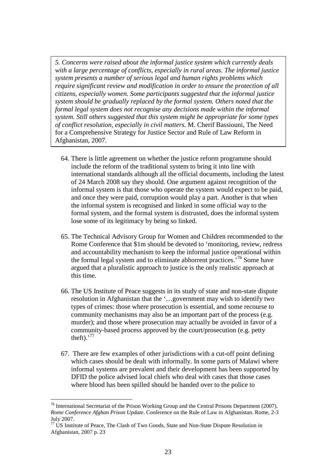*5. Concerns were raised about the informal justice system which currently deals with a large percentage of conflicts, especially in rural areas. The informal justice system presents a number of serious legal and human rights problems which require significant review and modification in order to ensure the protection of all citizens, especially women. Some participants suggested that the informal justice system should be gradually replaced by the formal system. Others noted that the formal legal system does not recognise any decisions made within the informal system. Still others suggested that this system might be appropriate for some types of conflict resolution, especially in civil matters.* M. Cherif Bassiouni, The Need for a Comprehensive Strategy for Justice Sector and Rule of Law Reform in Afghanistan, 2007.

- 64. There is little agreement on whether the justice reform programme should include the reform of the traditional system to bring it into line with international standards although all the official documents, including the latest of 24 March 2008 say they should. One argument against recognition of the informal system is that those who operate the system would expect to be paid, and once they were paid, corruption would play a part. Another is that when the informal system is recognised and linked in some official way to the formal system, and the formal system is distrusted, does the informal system lose some of its legitimacy by being so linked.
- 65. The Technical Advisory Group for Women and Children recommended to the Rome Conference that \$1m should be devoted to 'monitoring, review, redress and accountability mechanism to keep the informal justice operational within the formal legal system and to eliminate abhorrent practices.<sup>76</sup> Some have argued that a pluralistic approach to justice is the only realistic approach at this time.
- 66. The US Institute of Peace suggests in its study of state and non-state dispute resolution in Afghanistan that the '…government may wish to identify two types of crimes: those where prosecution is essential, and some recourse to community mechanisms may also be an important part of the process (e.g. murder); and those where prosecution may actually be avoided in favor of a community-based process approved by the court/prosecution (e.g. petty theft). $^{77}$
- 67. There are few examples of other jurisdictions with a cut-off point defining which cases should be dealt with informally. In some parts of Malawi where informal systems are prevalent and their development has been supported by DFID the police advised local chiefs who deal with cases that those cases where blood has been spilled should be handed over to the police to

 $76$  International Secretariat of the Prison Working Group and the Central Prisons Department (2007). *Rome Conference Afghan Prison Update*. Conference on the Rule of Law in Afghanistan. Rome, 2-3 July 2007.

 $77$  US Institute of Peace, The Clash of Two Goods, State and Non-State Dispute Resolution in Afghanistan, 2007 p. 23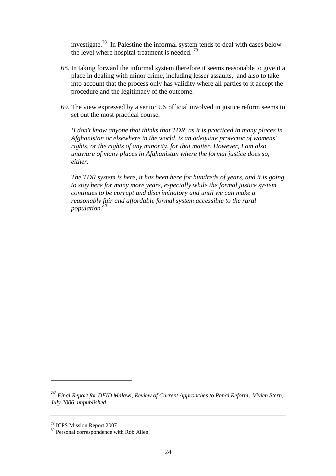investigate.<sup>78</sup> In Palestine the informal system tends to deal with cases below the level where hospital treatment is needed.  $79$ 

- 68. In taking forward the informal system therefore it seems reasonable to give it a place in dealing with minor crime, including lesser assaults, and also to take into account that the process only has validity where all parties to it accept the procedure and the legitimacy of the outcome.
- 69. The view expressed by a senior US official involved in justice reform seems to set out the most practical course.

*'I don't know anyone that thinks that TDR, as it is practiced in many places in Afghanistan or elsewhere in the world, is an adequate protector of womens' rights, or the rights of any minority, for that matter. However, I am also unaware of many places in Afghanistan where the formal justice does so, either.* 

*The TDR system is here, it has been here for hundreds of years, and it is going to stay here for many more years, especially while the formal justice system continues to be corrupt and discriminatory and until we can make a reasonably fair and affordable formal system accessible to the rural population.<sup>80</sup>*

*<sup>78</sup> Final Report for DFID Malawi, Review of Current Approaches to Penal Reform, Vivien Stern, July 2006, unpublished.* 

<sup>79</sup> ICPS Mission Report 2007

<sup>&</sup>lt;sup>80</sup> Personal correspondence with Rob Allen.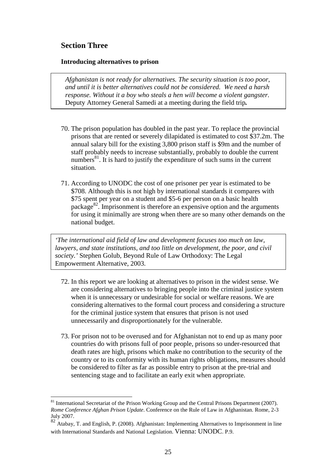# **Section Three**

 $\overline{a}$ 

## **Introducing alternatives to prison**

*Afghanistan is not ready for alternatives. The security situation is too poor, and until it is better alternatives could not be considered. We need a harsh response. Without it a boy who steals a hen will become a violent gangster.* Deputy Attorney General Samedi at a meeting during the field trip*.* 

- 70. The prison population has doubled in the past year. To replace the provincial prisons that are rented or severely dilapidated is estimated to cost \$37.2m. The annual salary bill for the existing 3,800 prison staff is \$9m and the number of staff probably needs to increase substantially, probably to double the current numbers $^{81}$ . It is hard to justify the expenditure of such sums in the current situation.
- 71. According to UNODC the cost of one prisoner per year is estimated to be \$708. Although this is not high by international standards it compares with \$75 spent per year on a student and \$5-6 per person on a basic health package<sup>82</sup>. Imprisonment is therefore an expensive option and the arguments for using it minimally are strong when there are so many other demands on the national budget.

*'The international aid field of law and development focuses too much on law, lawyers, and state institutions, and too little on development, the poor, and civil society.'* Stephen Golub, Beyond Rule of Law Orthodoxy: The Legal Empowerment Alternative, 2003.

- 72. In this report we are looking at alternatives to prison in the widest sense. We are considering alternatives to bringing people into the criminal justice system when it is unnecessary or undesirable for social or welfare reasons. We are considering alternatives to the formal court process and considering a structure for the criminal justice system that ensures that prison is not used unnecessarily and disproportionately for the vulnerable.
- 73. For prison not to be overused and for Afghanistan not to end up as many poor countries do with prisons full of poor people, prisons so under-resourced that death rates are high, prisons which make no contribution to the security of the country or to its conformity with its human rights obligations, measures should be considered to filter as far as possible entry to prison at the pre-trial and sentencing stage and to facilitate an early exit when appropriate.

<sup>&</sup>lt;sup>81</sup> International Secretariat of the Prison Working Group and the Central Prisons Department (2007). *Rome Conference Afghan Prison Update*. Conference on the Rule of Law in Afghanistan. Rome, 2-3 July 2007.

<sup>82</sup> Atabay, T. and English, P. (2008). Afghanistan: Implementing Alternatives to Imprisonment in line with International Standards and National Legislation. Vienna: UNODC. P.9.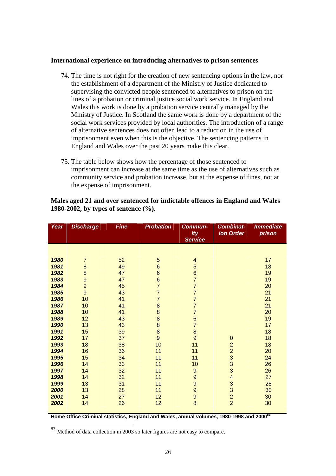#### **International experience on introducing alternatives to prison sentences**

- 74. The time is not right for the creation of new sentencing options in the law, nor the establishment of a department of the Ministry of Justice dedicated to supervising the convicted people sentenced to alternatives to prison on the lines of a probation or criminal justice social work service. In England and Wales this work is done by a probation service centrally managed by the Ministry of Justice. In Scotland the same work is done by a department of the social work services provided by local authorities. The introduction of a range of alternative sentences does not often lead to a reduction in the use of imprisonment even when this is the objective. The sentencing patterns in England and Wales over the past 20 years make this clear.
- 75. The table below shows how the percentage of those sentenced to imprisonment can increase at the same time as the use of alternatives such as community service and probation increase, but at the expense of fines, not at the expense of imprisonment.

| Year | <b>Discharge</b> | <b>Fine</b> | <b>Probation</b> | Commun-<br>ity                        | <b>Combinat-</b><br>ion Order              | <b>Immediate</b><br>prison |
|------|------------------|-------------|------------------|---------------------------------------|--------------------------------------------|----------------------------|
|      |                  |             |                  | <b>Service</b>                        |                                            |                            |
|      |                  |             |                  |                                       |                                            |                            |
|      |                  |             |                  |                                       |                                            |                            |
| 1980 | $\overline{7}$   | 52          | 5                | $\overline{\mathcal{A}}$              |                                            | 17                         |
| 1981 | $\bf 8$          | 49          | $6\phantom{1}$   | 5                                     |                                            | 18                         |
| 1982 | $\bf8$           | 47          | $6\phantom{.}$   | $\, 6$                                |                                            | 19                         |
| 1983 | $\boldsymbol{9}$ | 47          | $\bf 6$          | $\overline{7}$                        |                                            | 19                         |
| 1984 | $\overline{9}$   | 45          | $\overline{7}$   | $\overline{7}$                        |                                            | 20                         |
| 1985 | 9                | 43          | $\overline{7}$   | $\overline{7}$                        |                                            | 21                         |
| 1986 | 10               | 41          | $\overline{7}$   | $\overline{7}$                        |                                            | 21                         |
| 1987 | 10               | 41          | 8                | $\overline{7}$                        |                                            | 21                         |
| 1988 | 10               | 41          | 8                | $\overline{7}$                        |                                            | 20                         |
| 1989 | 12               | 43          | 8                | $\frac{6}{7}$                         |                                            | 19                         |
| 1990 | 13               | 43          | 8                |                                       |                                            | 17                         |
| 1991 | 15               | 39          | $\bf 8$          | $\bf 8$                               |                                            | 18                         |
| 1992 | 17               | 37          | 9                | $\mathsf{9}$                          | $\mathbf 0$                                | 18                         |
| 1993 | 18               | 38          | 10               | 11                                    | $\overline{2}$                             | 18                         |
| 1994 | 16               | 36          | 11               | 11                                    | $\overline{2}$                             | 20                         |
| 1995 | 15               | 34          | 11               | 11                                    | 3                                          | 24                         |
| 1996 | 14               | 33          | 11               | 10                                    | $\frac{3}{3}$                              | 26                         |
| 1997 | 14               | 32          | 11               | $\boldsymbol{9}$                      |                                            | 26                         |
| 1998 | 14               | 32          | 11               | 9                                     | $\overline{\mathbf{4}}$                    | 27                         |
| 1999 | 13               | 31          | 11               | 9                                     | 3                                          | 28                         |
| 2000 | 13               | 28          | 11               | 9                                     |                                            | 30                         |
| 2001 | 14               | 27          | 12               | $\begin{array}{c} 9 \\ 8 \end{array}$ | $\begin{array}{c} 3 \\ 2 \\ 2 \end{array}$ | 30                         |
| 2002 | 14               | 26          | 12               |                                       |                                            | 30                         |
|      |                  |             |                  |                                       |                                            |                            |

## **Males aged 21 and over sentenced for indictable offences in England and Wales 1980-2002, by types of sentence (%).**

**Home Office Criminal statistics, England and Wales, annual volumes, 1980-1998 and 2000<sup>83</sup>**

Method of data collection in 2003 so later figures are not easy to compare.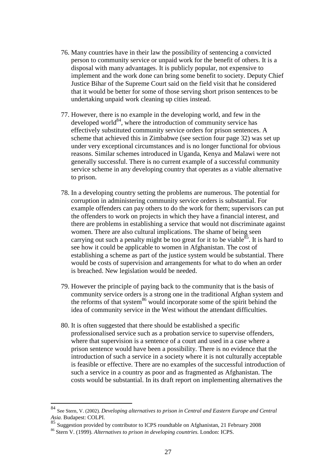- 76. Many countries have in their law the possibility of sentencing a convicted person to community service or unpaid work for the benefit of others. It is a disposal with many advantages. It is publicly popular, not expensive to implement and the work done can bring some benefit to society. Deputy Chief Justice Bihar of the Supreme Court said on the field visit that he considered that it would be better for some of those serving short prison sentences to be undertaking unpaid work cleaning up cities instead.
- 77. However, there is no example in the developing world, and few in the developed world $84$ , where the introduction of community service has effectively substituted community service orders for prison sentences. A scheme that achieved this in Zimbabwe (see section four page 32) was set up under very exceptional circumstances and is no longer functional for obvious reasons. Similar schemes introduced in Uganda, Kenya and Malawi were not generally successful. There is no current example of a successful community service scheme in any developing country that operates as a viable alternative to prison.
- 78. In a developing country setting the problems are numerous. The potential for corruption in administering community service orders is substantial. For example offenders can pay others to do the work for them; supervisors can put the offenders to work on projects in which they have a financial interest, and there are problems in establishing a service that would not discriminate against women. There are also cultural implications. The shame of being seen carrying out such a penalty might be too great for it to be viable<sup>85</sup>. It is hard to see how it could be applicable to women in Afghanistan. The cost of establishing a scheme as part of the justice system would be substantial. There would be costs of supervision and arrangements for what to do when an order is breached. New legislation would be needed.
- 79. However the principle of paying back to the community that is the basis of community service orders is a strong one in the traditional Afghan system and the reforms of that system $86$  would incorporate some of the spirit behind the idea of community service in the West without the attendant difficulties.
- 80. It is often suggested that there should be established a specific professionalised service such as a probation service to supervise offenders, where that supervision is a sentence of a court and used in a case where a prison sentence would have been a possibility. There is no evidence that the introduction of such a service in a society where it is not culturally acceptable is feasible or effective. There are no examples of the successful introduction of such a service in a country as poor and as fragmented as Afghanistan. The costs would be substantial. In its draft report on implementing alternatives the

<sup>84</sup> See Stern, V. (2002). *Developing alternatives to prison in Central and Eastern Europe and Central Asia*. Budapest: COLPI.

<sup>85</sup> Suggestion provided by contributor to ICPS roundtable on Afghanistan, 21 February 2008

<sup>86</sup> Stern V. (1999). *Alternatives to prison in developing countries.* London: ICPS.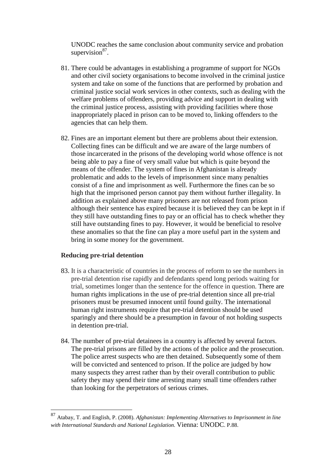UNODC reaches the same conclusion about community service and probation supervision $^{87}$ .

- 81. There could be advantages in establishing a programme of support for NGOs and other civil society organisations to become involved in the criminal justice system and take on some of the functions that are performed by probation and criminal justice social work services in other contexts, such as dealing with the welfare problems of offenders, providing advice and support in dealing with the criminal justice process, assisting with providing facilities where those inappropriately placed in prison can to be moved to, linking offenders to the agencies that can help them.
- 82. Fines are an important element but there are problems about their extension. Collecting fines can be difficult and we are aware of the large numbers of those incarcerated in the prisons of the developing world whose offence is not being able to pay a fine of very small value but which is quite beyond the means of the offender. The system of fines in Afghanistan is already problematic and adds to the levels of imprisonment since many penalties consist of a fine and imprisonment as well. Furthermore the fines can be so high that the imprisoned person cannot pay them without further illegality. In addition as explained above many prisoners are not released from prison although their sentence has expired because it is believed they can be kept in if they still have outstanding fines to pay or an official has to check whether they still have outstanding fines to pay. However, it would be beneficial to resolve these anomalies so that the fine can play a more useful part in the system and bring in some money for the government.

# **Reducing pre-trial detention**

- 83. It is a characteristic of countries in the process of reform to see the numbers in pre-trial detention rise rapidly and defendants spend long periods waiting for trial, sometimes longer than the sentence for the offence in question. There are human rights implications in the use of pre-trial detention since all pre-trial prisoners must be presumed innocent until found guilty. The international human right instruments require that pre-trial detention should be used sparingly and there should be a presumption in favour of not holding suspects in detention pre-trial.
- 84. The number of pre-trial detainees in a country is affected by several factors. The pre-trial prisons are filled by the actions of the police and the prosecution. The police arrest suspects who are then detained. Subsequently some of them will be convicted and sentenced to prison. If the police are judged by how many suspects they arrest rather than by their overall contribution to public safety they may spend their time arresting many small time offenders rather than looking for the perpetrators of serious crimes.

<sup>87</sup> Atabay, T. and English, P. (2008). *Afghanistan: Implementing Alternatives to Imprisonment in line with International Standards and National Legislation.* Vienna: UNODC. P.88.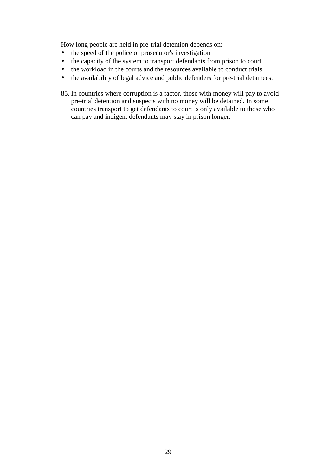How long people are held in pre-trial detention depends on:

- the speed of the police or prosecutor's investigation
- the capacity of the system to transport defendants from prison to court
- the workload in the courts and the resources available to conduct trials
- the availability of legal advice and public defenders for pre-trial detainees.
- 85. In countries where corruption is a factor, those with money will pay to avoid pre-trial detention and suspects with no money will be detained. In some countries transport to get defendants to court is only available to those who can pay and indigent defendants may stay in prison longer.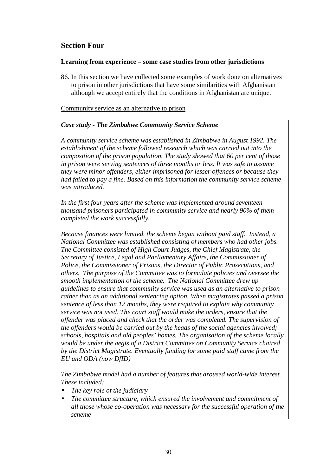# **Section Four**

## **Learning from experience – some case studies from other jurisdictions**

86. In this section we have collected some examples of work done on alternatives to prison in other jurisdictions that have some similarities with Afghanistan although we accept entirely that the conditions in Afghanistan are unique.

Community service as an alternative to prison

# *Case study - The Zimbabwe Community Service Scheme*

*A community service scheme was established in Zimbabwe in August 1992. The establishment of the scheme followed research which was carried out into the composition of the prison population. The study showed that 60 per cent of those in prison were serving sentences of three months or less. It was safe to assume they were minor offenders, either imprisoned for lesser offences or because they had failed to pay a fine. Based on this information the community service scheme was introduced.* 

*In the first four years after the scheme was implemented around seventeen thousand prisoners participated in community service and nearly 90% of them completed the work successfully.* 

*Because finances were limited, the scheme began without paid staff. Instead, a National Committee was established consisting of members who had other jobs. The Committee consisted of High Court Judges, the Chief Magistrate, the Secretary of Justice, Legal and Parliamentary Affairs, the Commissioner of Police, the Commissioner of Prisons, the Director of Public Prosecutions, and others. The purpose of the Committee was to formulate policies and oversee the smooth implementation of the scheme. The National Committee drew up guidelines to ensure that community service was used as an alternative to prison rather than as an additional sentencing option. When magistrates passed a prison sentence of less than 12 months, they were required to explain why community service was not used. The court staff would make the orders, ensure that the offender was placed and check that the order was completed. The supervision of the offenders would be carried out by the heads of the social agencies involved; schools, hospitals and old peoples' homes. The organisation of the scheme locally would be under the aegis of a District Committee on Community Service chaired by the District Magistrate. Eventually funding for some paid staff came from the EU and ODA (now DfID)* 

*The Zimbabwe model had a number of features that aroused world-wide interest. These included:* 

- *The key role of the judiciary*
- *The committee structure, which ensured the involvement and commitment of all those whose co-operation was necessary for the successful operation of the scheme*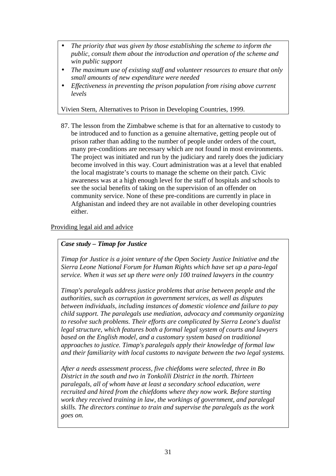- *The priority that was given by those establishing the scheme to inform the public, consult them about the introduction and operation of the scheme and win public support*
- *The maximum use of existing staff and volunteer resources to ensure that only small amounts of new expenditure were needed*
- *Effectiveness in preventing the prison population from rising above current levels*

Vivien Stern, Alternatives to Prison in Developing Countries, 1999.

87. The lesson from the Zimbabwe scheme is that for an alternative to custody to be introduced and to function as a genuine alternative, getting people out of prison rather than adding to the number of people under orders of the court, many pre-conditions are necessary which are not found in most environments. The project was initiated and run by the judiciary and rarely does the judiciary become involved in this way. Court administration was at a level that enabled the local magistrate's courts to manage the scheme on their patch. Civic awareness was at a high enough level for the staff of hospitals and schools to see the social benefits of taking on the supervision of an offender on community service. None of these pre-conditions are currently in place in Afghanistan and indeed they are not available in other developing countries either.

# Providing legal aid and advice

# *Case study – Timap for Justice*

*Timap for Justice is a joint venture of the Open Society Justice Initiative and the Sierra Leone National Forum for Human Rights which have set up a para-legal service. When it was set up there were only 100 trained lawyers in the country* 

*Timap's paralegals address justice problems that arise between people and the authorities, such as corruption in government services, as well as disputes between individuals, including instances of domestic violence and failure to pay child support. The paralegals use mediation, advocacy and community organizing to resolve such problems. Their efforts are complicated by Sierra Leone's dualist legal structure, which features both a formal legal system of courts and lawyers based on the English model, and a customary system based on traditional approaches to justice. Timap's paralegals apply their knowledge of formal law and their familiarity with local customs to navigate between the two legal systems.* 

*After a needs assessment process, five chiefdoms were selected, three in Bo District in the south and two in Tonkolili District in the north. Thirteen paralegals, all of whom have at least a secondary school education, were recruited and hired from the chiefdoms where they now work. Before starting work they received training in law, the workings of government, and paralegal skills. The directors continue to train and supervise the paralegals as the work goes on.*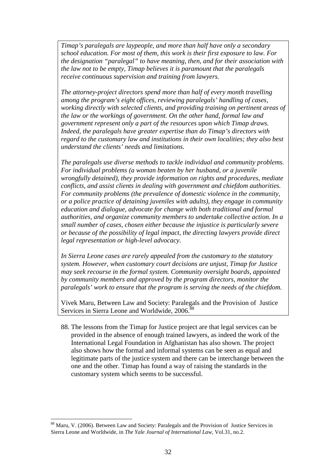*Timap's paralegals are laypeople, and more than half have only a secondary school education. For most of them, this work is their first exposure to law. For the designation "paralegal" to have meaning, then, and for their association with the law not to be empty, Timap believes it is paramount that the paralegals receive continuous supervision and training from lawyers.* 

*The attorney-project directors spend more than half of every month travelling among the program's eight offices, reviewing paralegals' handling of cases, working directly with selected clients, and providing training on pertinent areas of the law or the workings of government. On the other hand, formal law and government represent only a part of the resources upon which Timap draws. Indeed, the paralegals have greater expertise than do Timap's directors with regard to the customary law and institutions in their own localities; they also best understand the clients' needs and limitations.* 

*The paralegals use diverse methods to tackle individual and community problems. For individual problems (a woman beaten by her husband, or a juvenile wrongfully detained), they provide information on rights and procedures, mediate conflicts, and assist clients in dealing with government and chiefdom authorities. For community problems (the prevalence of domestic violence in the community, or a police practice of detaining juveniles with adults), they engage in community education and dialogue, advocate for change with both traditional and formal authorities, and organize community members to undertake collective action. In a small number of cases, chosen either because the injustice is particularly severe or because of the possibility of legal impact, the directing lawyers provide direct legal representation or high-level advocacy.* 

*In Sierra Leone cases are rarely appealed from the customary to the statutory system. However, when customary court decisions are unjust, Timap for Justice may seek recourse in the formal system. Community oversight boards, appointed by community members and approved by the program directors, monitor the paralegals' work to ensure that the program is serving the needs of the chiefdom.* 

Vivek Maru, Between Law and Society: Paralegals and the Provision of Justice Services in Sierra Leone and Worldwide, 2006.<sup>88</sup>

88. The lessons from the Timap for Justice project are that legal services can be provided in the absence of enough trained lawyers, as indeed the work of the International Legal Foundation in Afghanistan has also shown. The project also shows how the formal and informal systems can be seen as equal and legitimate parts of the justice system and there can be interchange between the one and the other. Timap has found a way of raising the standards in the customary system which seems to be successful.

 $\overline{a}$ <sup>88</sup> Maru, V. (2006). Between Law and Society: Paralegals and the Provision of Justice Services in Sierra Leone and Worldwide, in *The Yale Journal of International Law,* Vol.31, no.2.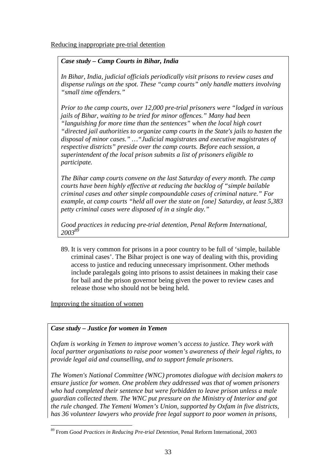Reducing inappropriate pre-trial detention

# *Case study – Camp Courts in Bihar, India*

*In Bihar, India, judicial officials periodically visit prisons to review cases and dispense rulings on the spot. These "camp courts" only handle matters involving "small time offenders."* 

*Prior to the camp courts, over 12,000 pre-trial prisoners were "lodged in various jails of Bihar, waiting to be tried for minor offences." Many had been "languishing for more time than the sentences" when the local high court "directed jail authorities to organize camp courts in the State's jails to hasten the disposal of minor cases." …"Judicial magistrates and executive magistrates of respective districts" preside over the camp courts. Before each session, a superintendent of the local prison submits a list of prisoners eligible to participate.* 

*The Bihar camp courts convene on the last Saturday of every month. The camp courts have been highly effective at reducing the backlog of "simple bailable criminal cases and other simple compoundable cases of criminal nature." For example, at camp courts "held all over the state on [one] Saturday, at least 5,383 petty criminal cases were disposed of in a single day."* 

*Good practices in reducing pre-trial detention, Penal Reform International, 2003<sup>89</sup>* 

89. It is very common for prisons in a poor country to be full of 'simple, bailable criminal cases'. The Bihar project is one way of dealing with this, providing access to justice and reducing unnecessary imprisonment. Other methods include paralegals going into prisons to assist detainees in making their case for bail and the prison governor being given the power to review cases and release those who should not be being held.

# Improving the situation of women

# *Case study – Justice for women in Yemen*

*Oxfam is working in Yemen to improve women's access to justice. They work with local partner organisations to raise poor women's awareness of their legal rights, to provide legal aid and counselling, and to support female prisoners.* 

*The Women's National Committee (WNC) promotes dialogue with decision makers to ensure justice for women. One problem they addressed was that of women prisoners who had completed their sentence but were forbidden to leave prison unless a male guardian collected them. The WNC put pressure on the Ministry of Interior and got the rule changed. The Yemeni Women's Union, supported by Oxfam in five districts, has 36 volunteer lawyers who provide free legal support to poor women in prisons,* 

 $\overline{a}$ <sup>89</sup> From *Good Practices in Reducing Pre-trial Detention*, Penal Reform International, 2003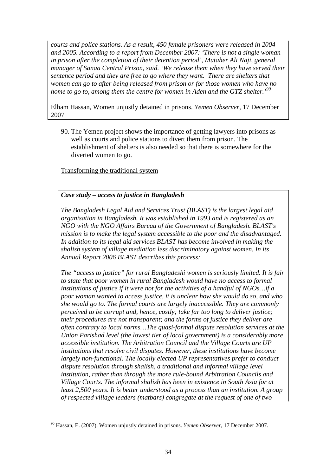*courts and police stations. As a result, 450 female prisoners were released in 2004 and 2005. According to a report from December 2007: 'There is not a single woman in prison after the completion of their detention period', Mutaher Ali Naji, general manager of Sanaa Central Prison, said. 'We release them when they have served their sentence period and they are free to go where they want. There are shelters that women can go to after being released from prison or for those women who have no home to go to, among them the centre for women in Aden and the GTZ shelter.'<sup>90</sup>*

Elham Hassan, Women unjustly detained in prisons. *Yemen Observer,* 17 December 2007

90. The Yemen project shows the importance of getting lawyers into prisons as well as courts and police stations to divert them from prison. The establishment of shelters is also needed so that there is somewhere for the diverted women to go.

Transforming the traditional system

# *Case study – access to justice in Bangladesh*

*The Bangladesh Legal Aid and Services Trust (BLAST) is the largest legal aid organisation in Bangladesh. It was established in 1993 and is registered as an NGO with the NGO Affairs Bureau of the Government of Bangladesh. BLAST's mission is to make the legal system accessible to the poor and the disadvantaged. In addition to its legal aid services BLAST has become involved in making the shalish system of village mediation less discriminatory against women. In its Annual Report 2006 BLAST describes this process:* 

*The "access to justice" for rural Bangladeshi women is seriously limited. It is fair to state that poor women in rural Bangladesh would have no access to formal institutions of justice if it were not for the activities of a handful of NGOs…if a poor woman wanted to access justice, it is unclear how she would do so, and who she would go to. The formal courts are largely inaccessible. They are commonly perceived to be corrupt and, hence, costly; take far too long to deliver justice; their procedures are not transparent; and the forms of justice they deliver are often contrary to local norms…The quasi-formal dispute resolution services at the Union Parishad level (the lowest tier of local government) is a considerably more accessible institution. The Arbitration Council and the Village Courts are UP institutions that resolve civil disputes. However, these institutions have become largely non-functional. The locally elected UP representatives prefer to conduct dispute resolution through shalish, a traditional and informal village level institution, rather than through the more rule-bound Arbitration Councils and Village Courts. The informal shalish has been in existence in South Asia for at least 2,500 years. It is better understood as a process than an institution. A group of respected village leaders (matbars) congregate at the request of one of two* 

 $\overline{a}$ <sup>90</sup> Hassan, E. (2007). Women unjustly detained in prisons. *Yemen Observer,* 17 December 2007.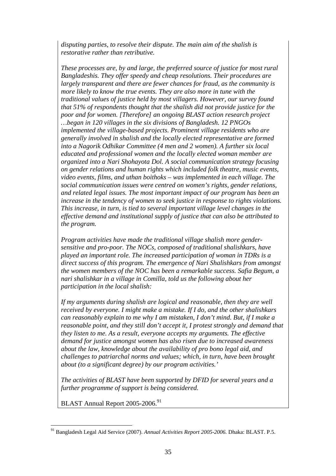*disputing parties, to resolve their dispute. The main aim of the shalish is restorative rather than retributive.* 

*These processes are, by and large, the preferred source of justice for most rural Bangladeshis. They offer speedy and cheap resolutions. Their procedures are largely transparent and there are fewer chances for fraud, as the community is more likely to know the true events. They are also more in tune with the traditional values of justice held by most villagers. However, our survey found that 51% of respondents thought that the shalish did not provide justice for the poor and for women. [Therefore] an ongoing BLAST action research project …began in 120 villages in the six divisions of Bangladesh. 12 PNGOs implemented the village-based projects. Prominent village residents who are generally involved in shalish and the locally elected representative are formed into a Nagorik Odhikar Committee (4 men and 2 women). A further six local educated and professional women and the locally elected woman member are organized into a Nari Shohayota Dol. A social communication strategy focusing on gender relations and human rights which included folk theatre, music events, video events, films, and uthan boithoks – was implemented in each village. The social communication issues were centred on women's rights, gender relations, and related legal issues. The most important impact of our program has been an increase in the tendency of women to seek justice in response to rights violations. This increase, in turn, is tied to several important village level changes in the effective demand and institutional supply of justice that can also be attributed to the program.* 

*Program activities have made the traditional village shalish more gendersensitive and pro-poor. The NOCs, composed of traditional shalishkars, have played an important role. The increased participation of woman in TDRs is a direct success of this program. The emergence of Nari Shalishkars from amongst the women members of the NOC has been a remarkable success. Safia Begum, a nari shalishkar in a village in Comilla, told us the following about her participation in the local shalish:* 

*If my arguments during shalish are logical and reasonable, then they are well received by everyone. I might make a mistake. If I do, and the other shalishkars can reasonably explain to me why I am mistaken, I don't mind. But, if I make a reasonable point, and they still don't accept it, I protest strongly and demand that they listen to me. As a result, everyone accepts my arguments. The effective demand for justice amongst women has also risen due to increased awareness about the law, knowledge about the availability of pro bono legal aid, and challenges to patriarchal norms and values; which, in turn, have been brought about (to a significant degree) by our program activities.'* 

*The activities of BLAST have been supported by DFID for several years and a further programme of support is being considered.* 

BLAST Annual Report 2005-2006.<sup>91</sup>

 $\overline{a}$ <sup>91</sup> Bangladesh Legal Aid Service (2007). *Annual Activities Report 2005-2006.* Dhaka: BLAST. P.5.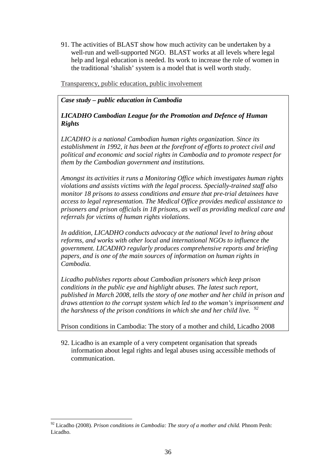91. The activities of BLAST show how much activity can be undertaken by a well-run and well-supported NGO. BLAST works at all levels where legal help and legal education is needed. Its work to increase the role of women in the traditional 'shalish' system is a model that is well worth study.

Transparency, public education, public involvement

*Case study – public education in Cambodia* 

# *LICADHO Cambodian League for the Promotion and Defence of Human Rights*

*LICADHO is a national Cambodian human rights organization. Since its establishment in 1992, it has been at the forefront of efforts to protect civil and political and economic and social rights in Cambodia and to promote respect for them by the Cambodian government and institutions.* 

*Amongst its activities it runs a Monitoring Office which investigates human rights violations and assists victims with the legal process. Specially-trained staff also monitor 18 prisons to assess conditions and ensure that pre-trial detainees have access to legal representation. The Medical Office provides medical assistance to prisoners and prison officials in 18 prisons, as well as providing medical care and referrals for victims of human rights violations.* 

*In addition, LICADHO conducts advocacy at the national level to bring about reforms, and works with other local and international NGOs to influence the government. LICADHO regularly produces comprehensive reports and briefing papers, and is one of the main sources of information on human rights in Cambodia.* 

*Licadho publishes reports about Cambodian prisoners which keep prison conditions in the public eye and highlight abuses. The latest such report, published in March 2008, tells the story of one mother and her child in prison and draws attention to the corrupt system which led to the woman's imprisonment and the harshness of the prison conditions in which she and her child live. <sup>92</sup>*

Prison conditions in Cambodia: The story of a mother and child, Licadho 2008

92. Licadho is an example of a very competent organisation that spreads information about legal rights and legal abuses using accessible methods of communication.

<sup>92</sup> Licadho (2008). *Prison conditions in Cambodia: The story of a mother and child.* Phnom Penh: Licadho.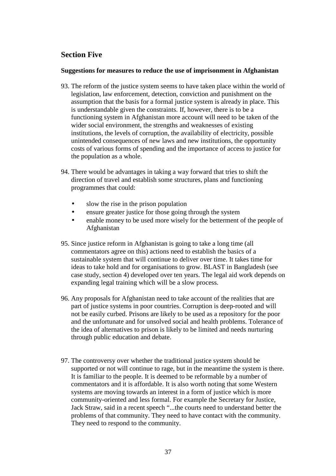# **Section Five**

## **Suggestions for measures to reduce the use of imprisonment in Afghanistan**

- 93. The reform of the justice system seems to have taken place within the world of legislation, law enforcement, detection, conviction and punishment on the assumption that the basis for a formal justice system is already in place. This is understandable given the constraints. If, however, there is to be a functioning system in Afghanistan more account will need to be taken of the wider social environment, the strengths and weaknesses of existing institutions, the levels of corruption, the availability of electricity, possible unintended consequences of new laws and new institutions, the opportunity costs of various forms of spending and the importance of access to justice for the population as a whole.
- 94. There would be advantages in taking a way forward that tries to shift the direction of travel and establish some structures, plans and functioning programmes that could:
	- slow the rise in the prison population
	- ensure greater justice for those going through the system
	- enable money to be used more wisely for the betterment of the people of Afghanistan
- 95. Since justice reform in Afghanistan is going to take a long time (all commentators agree on this) actions need to establish the basics of a sustainable system that will continue to deliver over time. It takes time for ideas to take hold and for organisations to grow. BLAST in Bangladesh (see case study, section 4) developed over ten years. The legal aid work depends on expanding legal training which will be a slow process.
- 96. Any proposals for Afghanistan need to take account of the realities that are part of justice systems in poor countries. Corruption is deep-rooted and will not be easily curbed. Prisons are likely to be used as a repository for the poor and the unfortunate and for unsolved social and health problems. Tolerance of the idea of alternatives to prison is likely to be limited and needs nurturing through public education and debate.
- 97. The controversy over whether the traditional justice system should be supported or not will continue to rage, but in the meantime the system is there. It is familiar to the people. It is deemed to be reformable by a number of commentators and it is affordable. It is also worth noting that some Western systems are moving towards an interest in a form of justice which is more community-oriented and less formal. For example the Secretary for Justice, Jack Straw, said in a recent speech "...the courts need to understand better the problems of that community. They need to have contact with the community. They need to respond to the community.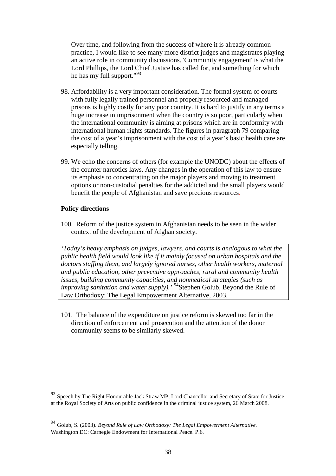Over time, and following from the success of where it is already common practice, I would like to see many more district judges and magistrates playing an active role in community discussions. 'Community engagement' is what the Lord Phillips, the Lord Chief Justice has called for, and something for which he has my full support."<sup>93</sup>

- 98. Affordability is a very important consideration. The formal system of courts with fully legally trained personnel and properly resourced and managed prisons is highly costly for any poor country. It is hard to justify in any terms a huge increase in imprisonment when the country is so poor, particularly when the international community is aiming at prisons which are in conformity with international human rights standards. The figures in paragraph 79 comparing the cost of a year's imprisonment with the cost of a year's basic health care are especially telling.
- 99. We echo the concerns of others (for example the UNODC) about the effects of the counter narcotics laws. Any changes in the operation of this law to ensure its emphasis to concentrating on the major players and moving to treatment options or non-custodial penalties for the addicted and the small players would benefit the people of Afghanistan and save precious resources.

## **Policy directions**

 $\overline{a}$ 

100. Reform of the justice system in Afghanistan needs to be seen in the wider context of the development of Afghan society.

*'Today's heavy emphasis on judges, lawyers, and courts is analogous to what the public health field would look like if it mainly focused on urban hospitals and the doctors staffing them, and largely ignored nurses, other health workers, maternal and public education, other preventive approaches, rural and community health issues, building community capacities, and nonmedical strategies (such as improving sanitation and water supply).'* <sup>94</sup>Stephen Golub, Beyond the Rule of Law Orthodoxy: The Legal Empowerment Alternative, 2003.

101. The balance of the expenditure on justice reform is skewed too far in the direction of enforcement and prosecution and the attention of the donor community seems to be similarly skewed.

<sup>93</sup> Speech by The Right Honourable Jack Straw MP, Lord Chancellor and Secretary of State for Justice at the Royal Society of Arts on public confidence in the criminal justice system, 26 March 2008.

<sup>94</sup> Golub, S. (2003). *Beyond Rule of Law Orthodoxy: The Legal Empowerment Alternative.*  Washington DC: Carnegie Endowment for International Peace. P.6.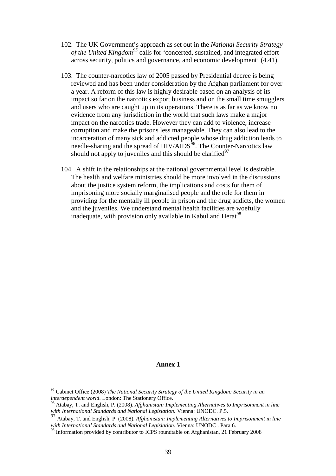- 102. The UK Government's approach as set out in the *National Security Strategy of the United Kingdom<sup>95</sup>* calls for 'concerted, sustained, and integrated effort across security, politics and governance, and economic development' (4.41).
- 103. The counter-narcotics law of 2005 passed by Presidential decree is being reviewed and has been under consideration by the Afghan parliament for over a year. A reform of this law is highly desirable based on an analysis of its impact so far on the narcotics export business and on the small time smugglers and users who are caught up in its operations. There is as far as we know no evidence from any jurisdiction in the world that such laws make a major impact on the narcotics trade. However they can add to violence, increase corruption and make the prisons less manageable. They can also lead to the incarceration of many sick and addicted people whose drug addiction leads to needle-sharing and the spread of  $HIV/ADS<sup>56</sup>$ . The Counter-Narcotics law should not apply to juveniles and this should be clarified $^{97}$
- 104. A shift in the relationships at the national governmental level is desirable. The health and welfare ministries should be more involved in the discussions about the justice system reform, the implications and costs for them of imprisoning more socially marginalised people and the role for them in providing for the mentally ill people in prison and the drug addicts, the women and the juveniles. We understand mental health facilities are woefully inadequate, with provision only available in Kabul and Herat<sup>98</sup>.

### **Annex 1**

<sup>95</sup> Cabinet Office (2008) *The National Security Strategy of the United Kingdom: Security in an interdependent world*. London: The Stationery Office.

<sup>96</sup> Atabay, T. and English, P. (2008). *Afghanistan: Implementing Alternatives to Imprisonment in line with International Standards and National Legislation*. Vienna: UNODC. P.5.

<sup>97</sup> Atabay, T. and English, P. (2008). *Afghanistan: Implementing Alternatives to Imprisonment in line with International Standards and National Legislation*. Vienna: UNODC . Para 6.

<sup>&</sup>lt;sup>98</sup> Information provided by contributor to ICPS roundtable on Afghanistan, 21 February 2008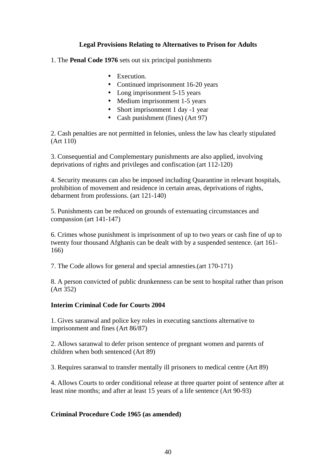## **Legal Provisions Relating to Alternatives to Prison for Adults**

1. The **Penal Code 1976** sets out six principal punishments

- Execution.
- Continued imprisonment 16-20 years
- Long imprisonment 5-15 years
- Medium imprisonment 1-5 years
- Short imprisonment 1 day -1 year
- Cash punishment (fines) (Art 97)

2. Cash penalties are not permitted in felonies, unless the law has clearly stipulated (Art 110)

3. Consequential and Complementary punishments are also applied, involving deprivations of rights and privileges and confiscation (art 112-120)

4. Security measures can also be imposed including Quarantine in relevant hospitals, prohibition of movement and residence in certain areas, deprivations of rights, debarment from professions. (art 121-140)

5. Punishments can be reduced on grounds of extenuating circumstances and compassion (art 141-147)

6. Crimes whose punishment is imprisonment of up to two years or cash fine of up to twenty four thousand Afghanis can be dealt with by a suspended sentence. (art 161- 166)

7. The Code allows for general and special amnesties.(art 170-171)

8. A person convicted of public drunkenness can be sent to hospital rather than prison (Art 352)

## **Interim Criminal Code for Courts 2004**

1. Gives saranwal and police key roles in executing sanctions alternative to imprisonment and fines (Art 86/87)

2. Allows saranwal to defer prison sentence of pregnant women and parents of children when both sentenced (Art 89)

3. Requires saranwal to transfer mentally ill prisoners to medical centre (Art 89)

4. Allows Courts to order conditional release at three quarter point of sentence after at least nine months; and after at least 15 years of a life sentence (Art 90-93)

## **Criminal Procedure Code 1965 (as amended)**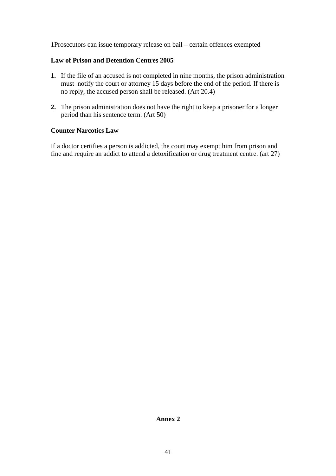1Prosecutors can issue temporary release on bail – certain offences exempted

## **Law of Prison and Detention Centres 2005**

- **1.** If the file of an accused is not completed in nine months, the prison administration must notify the court or attorney 15 days before the end of the period. If there is no reply, the accused person shall be released. (Art 20.4)
- **2.** The prison administration does not have the right to keep a prisoner for a longer period than his sentence term. (Art 50)

### **Counter Narcotics Law**

If a doctor certifies a person is addicted, the court may exempt him from prison and fine and require an addict to attend a detoxification or drug treatment centre. (art 27)

## **Annex 2**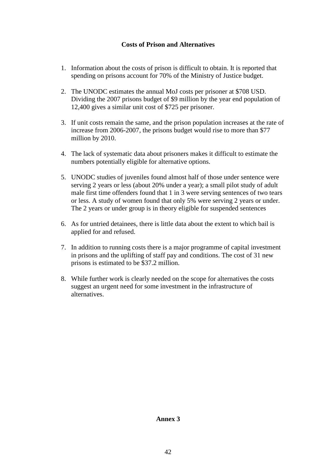# **Costs of Prison and Alternatives**

- 1. Information about the costs of prison is difficult to obtain. It is reported that spending on prisons account for 70% of the Ministry of Justice budget.
- 2. The UNODC estimates the annual MoJ costs per prisoner at \$708 USD. Dividing the 2007 prisons budget of \$9 million by the year end population of 12,400 gives a similar unit cost of \$725 per prisoner.
- 3. If unit costs remain the same, and the prison population increases at the rate of increase from 2006-2007, the prisons budget would rise to more than \$77 million by 2010.
- 4. The lack of systematic data about prisoners makes it difficult to estimate the numbers potentially eligible for alternative options.
- 5. UNODC studies of juveniles found almost half of those under sentence were serving 2 years or less (about 20% under a year); a small pilot study of adult male first time offenders found that 1 in 3 were serving sentences of two tears or less. A study of women found that only 5% were serving 2 years or under. The 2 years or under group is in theory eligible for suspended sentences
- 6. As for untried detainees, there is little data about the extent to which bail is applied for and refused.
- 7. In addition to running costs there is a major programme of capital investment in prisons and the uplifting of staff pay and conditions. The cost of 31 new prisons is estimated to be \$37.2 million.
- 8. While further work is clearly needed on the scope for alternatives the costs suggest an urgent need for some investment in the infrastructure of alternatives.

#### **Annex 3**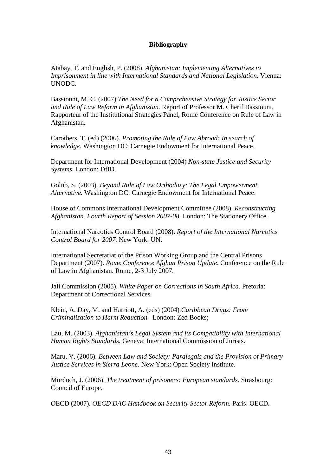## **Bibliography**

Atabay, T. and English, P. (2008). *Afghanistan: Implementing Alternatives to Imprisonment in line with International Standards and National Legislation. Vienna:* UNODC.

Bassiouni, M. C. (2007) *The Need for a Comprehensive Strategy for Justice Sector and Rule of Law Reform in Afghanistan*. Report of Professor M. Cherif Bassiouni, Rapporteur of the Institutional Strategies Panel, Rome Conference on Rule of Law in Afghanistan.

Carothers, T. (ed) (2006). *Promoting the Rule of Law Abroad: In search of knowledge.* Washington DC: Carnegie Endowment for International Peace.

Department for International Development (2004) *Non-state Justice and Security Systems.* London: DfID.

Golub, S. (2003). *Beyond Rule of Law Orthodoxy: The Legal Empowerment Alternative.* Washington DC: Carnegie Endowment for International Peace.

House of Commons International Development Committee (2008). *Reconstructing Afghanistan. Fourth Report of Session 2007-08.* London: The Stationery Office.

International Narcotics Control Board (2008). *Report of the International Narcotics Control Board for 2007.* New York: UN.

International Secretariat of the Prison Working Group and the Central Prisons Department (2007). *Rome Conference Afghan Prison Update*. Conference on the Rule of Law in Afghanistan. Rome, 2-3 July 2007.

Jali Commission (2005). *White Paper on Corrections in South Africa.* Pretoria: Department of Correctional Services

Klein, A. Day, M. and Harriott, A. (eds) (2004) *Caribbean Drugs: From Criminalization to Harm Reduction.* London: Zed Books;

Lau, M. (2003). *Afghanistan's Legal System and its Compatibility with International Human Rights Standards.* Geneva: International Commission of Jurists.

Maru, V. (2006). *Between Law and Society: Paralegals and the Provision of Primary Justice Services in Sierra Leone.* New York: Open Society Institute.

Murdoch, J. (2006). *The treatment of prisoners: European standards.* Strasbourg: Council of Europe.

OECD (2007). *OECD DAC Handbook on Security Sector Reform.* Paris: OECD.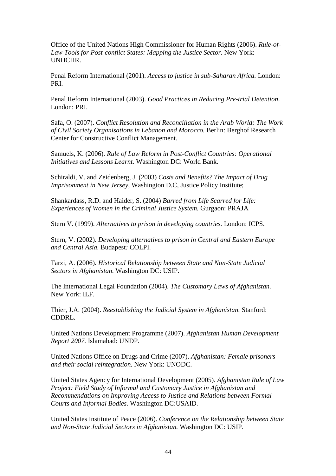Office of the United Nations High Commissioner for Human Rights (2006). *Rule-of-*Law Tools for Post-conflict States: Mapping the Justice Sector. New York: UNHCHR.

Penal Reform International (2001). *Access to justice in sub-Saharan Africa.* London: PRI.

Penal Reform International (2003). *Good Practices in Reducing Pre-trial Detention*. London: PRI.

Safa, O. (2007). *Conflict Resolution and Reconciliation in the Arab World: The Work of Civil Society Organisations in Lebanon and Morocco.* Berlin: Berghof Research Center for Constructive Conflict Management.

Samuels, K. (2006). *Rule of Law Reform in Post-Conflict Countries: Operational Initiatives and Lessons Learnt.* Washington DC: World Bank.

Schiraldi, V. and Zeidenberg, J. (2003) *Costs and Benefits? The Impact of Drug Imprisonment in New Jersey*, Washington D.C*,* Justice Policy Institute;

Shankardass, R.D. and Haider, S. (2004) *Barred from Life Scarred for Life: Experiences of Women in the Criminal Justice System.* Gurgaon: PRAJA

Stern V. (1999). *Alternatives to prison in developing countries.* London: ICPS.

Stern, V. (2002). *Developing alternatives to prison in Central and Eastern Europe and Central Asia.* Budapest*:* COLPI.

Tarzi, A. (2006). *Historical Relationship between State and Non-State Judicial Sectors in Afghanistan.* Washington DC: USIP.

The International Legal Foundation (2004). *The Customary Laws of Afghanistan.*  New York: ILF.

Thier, J.A. (2004). *Reestablishing the Judicial System in Afghanistan.* Stanford: CDDRL.

United Nations Development Programme (2007). *Afghanistan Human Development Report 2007.* Islamabad: UNDP.

United Nations Office on Drugs and Crime (2007). *Afghanistan: Female prisoners and their social reintegration.* New York: UNODC.

United States Agency for International Development (2005). *Afghanistan Rule of Law Project: Field Study of Informal and Customary Justice in Afghanistan and Recommendations on Improving Access to Justice and Relations between Formal Courts and Informal Bodies.* Washington DC:USAID.

United States Institute of Peace (2006). *Conference on the Relationship between State and Non-State Judicial Sectors in Afghanistan.* Washington DC: USIP.